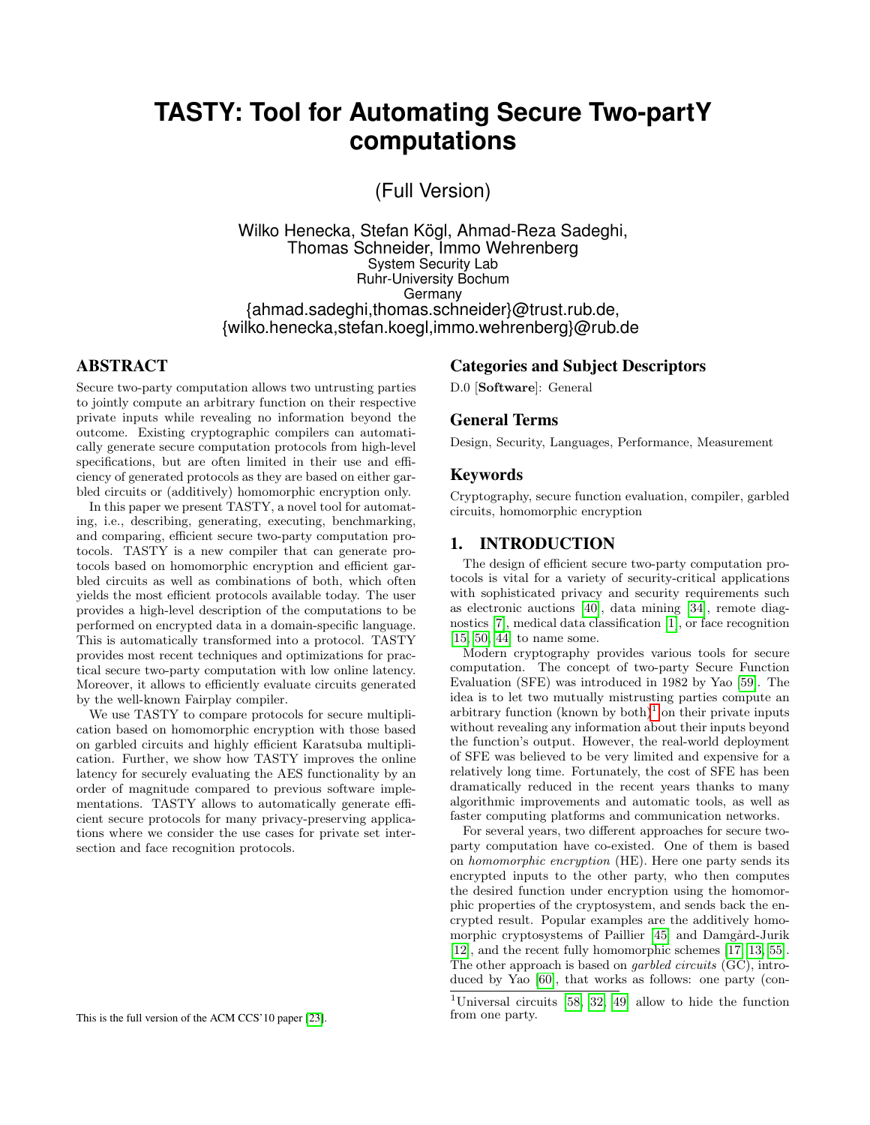# **TASTY: Tool for Automating Secure Two-partY computations**

(Full Version)

Wilko Henecka, Stefan Kögl, Ahmad-Reza Sadeghi, Thomas Schneider, Immo Wehrenberg System Security Lab Ruhr-University Bochum Germany {ahmad.sadeghi,thomas.schneider}@trust.rub.de, {wilko.henecka,stefan.koegl,immo.wehrenberg}@rub.de

# ABSTRACT

Secure two-party computation allows two untrusting parties to jointly compute an arbitrary function on their respective private inputs while revealing no information beyond the outcome. Existing cryptographic compilers can automatically generate secure computation protocols from high-level specifications, but are often limited in their use and efficiency of generated protocols as they are based on either garbled circuits or (additively) homomorphic encryption only.

In this paper we present TASTY, a novel tool for automating, i.e., describing, generating, executing, benchmarking, and comparing, efficient secure two-party computation protocols. TASTY is a new compiler that can generate protocols based on homomorphic encryption and efficient garbled circuits as well as combinations of both, which often yields the most efficient protocols available today. The user provides a high-level description of the computations to be performed on encrypted data in a domain-specific language. This is automatically transformed into a protocol. TASTY provides most recent techniques and optimizations for practical secure two-party computation with low online latency. Moreover, it allows to efficiently evaluate circuits generated by the well-known Fairplay compiler.

We use TASTY to compare protocols for secure multiplication based on homomorphic encryption with those based on garbled circuits and highly efficient Karatsuba multiplication. Further, we show how TASTY improves the online latency for securely evaluating the AES functionality by an order of magnitude compared to previous software implementations. TASTY allows to automatically generate efficient secure protocols for many privacy-preserving applications where we consider the use cases for private set intersection and face recognition protocols.

#### Categories and Subject Descriptors

D.0 [Software]: General

#### General Terms

Design, Security, Languages, Performance, Measurement

### Keywords

Cryptography, secure function evaluation, compiler, garbled circuits, homomorphic encryption

## 1. INTRODUCTION

The design of efficient secure two-party computation protocols is vital for a variety of security-critical applications with sophisticated privacy and security requirements such as electronic auctions [\[40\]](#page-12-1), data mining [\[34\]](#page-12-2), remote diagnostics [\[7\]](#page-11-0), medical data classification [\[1\]](#page-11-1), or face recognition [\[15,](#page-12-3) [50,](#page-13-0) [44\]](#page-13-1) to name some.

Modern cryptography provides various tools for secure computation. The concept of two-party Secure Function Evaluation (SFE) was introduced in 1982 by Yao [\[59\]](#page-13-2). The idea is to let two mutually mistrusting parties compute an arbitrary function (known by both)<sup>[1](#page-0-0)</sup> on their private inputs without revealing any information about their inputs beyond the function's output. However, the real-world deployment of SFE was believed to be very limited and expensive for a relatively long time. Fortunately, the cost of SFE has been dramatically reduced in the recent years thanks to many algorithmic improvements and automatic tools, as well as faster computing platforms and communication networks.

For several years, two different approaches for secure twoparty computation have co-existed. One of them is based on homomorphic encryption (HE). Here one party sends its encrypted inputs to the other party, who then computes the desired function under encryption using the homomorphic properties of the cryptosystem, and sends back the encrypted result. Popular examples are the additively homo-morphic cryptosystems of Paillier [\[45\]](#page-13-3) and Damgård-Jurik [\[12\]](#page-12-4), and the recent fully homomorphic schemes [\[17,](#page-12-5) [13,](#page-12-6) [55\]](#page-13-4). The other approach is based on *garbled circuits* (GC), introduced by Yao [\[60\]](#page-13-5), that works as follows: one party (con-

<span id="page-0-0"></span><sup>&</sup>lt;sup>1</sup>Universal circuits [\[58,](#page-13-6) [32,](#page-12-7) [49\]](#page-13-7) allow to hide the function from one party.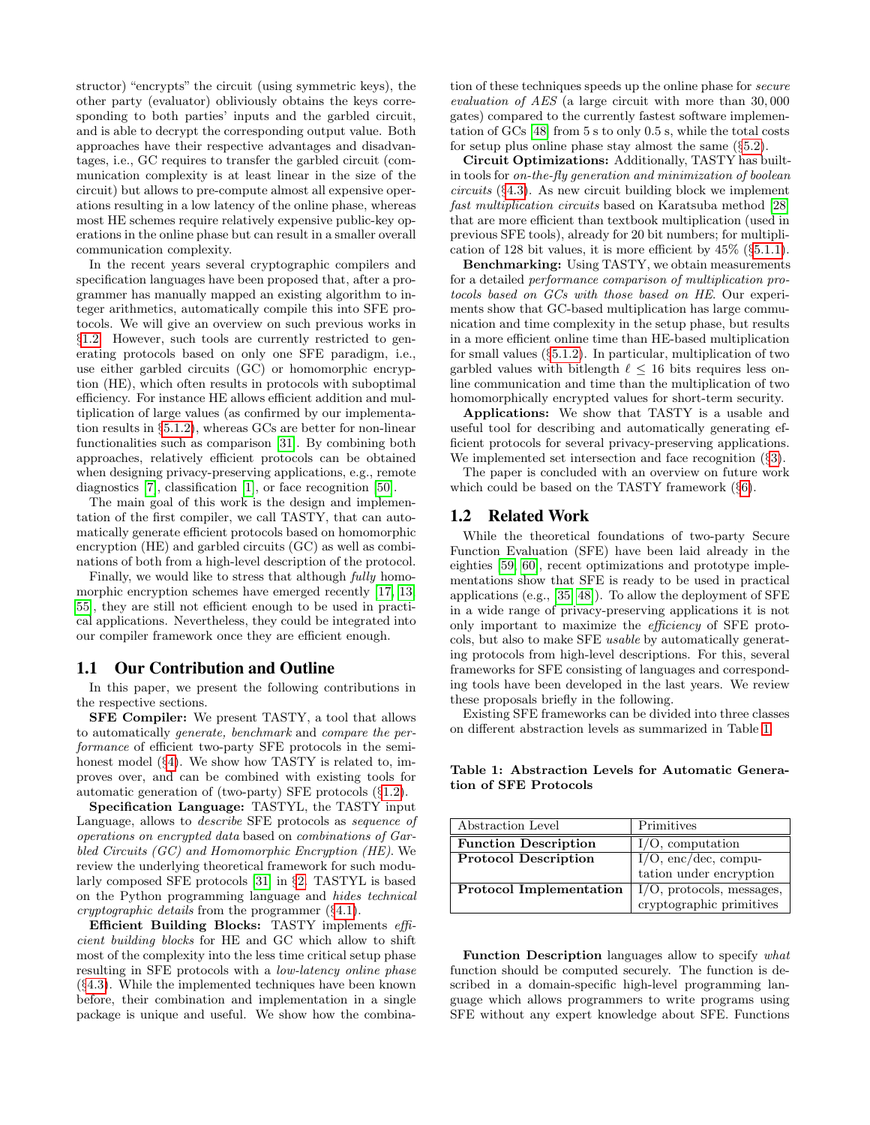structor) "encrypts" the circuit (using symmetric keys), the other party (evaluator) obliviously obtains the keys corresponding to both parties' inputs and the garbled circuit, and is able to decrypt the corresponding output value. Both approaches have their respective advantages and disadvantages, i.e., GC requires to transfer the garbled circuit (communication complexity is at least linear in the size of the circuit) but allows to pre-compute almost all expensive operations resulting in a low latency of the online phase, whereas most HE schemes require relatively expensive public-key operations in the online phase but can result in a smaller overall communication complexity.

In the recent years several cryptographic compilers and specification languages have been proposed that, after a programmer has manually mapped an existing algorithm to integer arithmetics, automatically compile this into SFE protocols. We will give an overview on such previous works in §[1.2.](#page-1-0) However, such tools are currently restricted to generating protocols based on only one SFE paradigm, i.e., use either garbled circuits (GC) or homomorphic encryption (HE), which often results in protocols with suboptimal efficiency. For instance HE allows efficient addition and multiplication of large values (as confirmed by our implementation results in §[5.1.2\)](#page-9-0), whereas GCs are better for non-linear functionalities such as comparison [\[31\]](#page-12-8). By combining both approaches, relatively efficient protocols can be obtained when designing privacy-preserving applications, e.g., remote diagnostics [\[7\]](#page-11-0), classification [\[1\]](#page-11-1), or face recognition [\[50\]](#page-13-0).

The main goal of this work is the design and implementation of the first compiler, we call TASTY, that can automatically generate efficient protocols based on homomorphic encryption (HE) and garbled circuits (GC) as well as combinations of both from a high-level description of the protocol.

Finally, we would like to stress that although fully homo-morphic encryption schemes have emerged recently [\[17,](#page-12-5) [13,](#page-12-6) [55\]](#page-13-4), they are still not efficient enough to be used in practical applications. Nevertheless, they could be integrated into our compiler framework once they are efficient enough.

### 1.1 Our Contribution and Outline

In this paper, we present the following contributions in the respective sections.

SFE Compiler: We present TASTY, a tool that allows to automatically generate, benchmark and compare the performance of efficient two-party SFE protocols in the semi-honest model (§[4\)](#page-5-0). We show how TASTY is related to, improves over, and can be combined with existing tools for automatic generation of (two-party) SFE protocols (§[1.2\)](#page-1-0).

Specification Language: TASTYL, the TASTY input Language, allows to describe SFE protocols as sequence of operations on encrypted data based on combinations of Garbled Circuits (GC) and Homomorphic Encryption (HE). We review the underlying theoretical framework for such modularly composed SFE protocols [\[31\]](#page-12-8) in §[2.](#page-2-0) TASTYL is based on the Python programming language and hides technical cryptographic details from the programmer (§[4.1\)](#page-6-0).

Efficient Building Blocks: TASTY implements efficient building blocks for HE and GC which allow to shift most of the complexity into the less time critical setup phase resulting in SFE protocols with a low-latency online phase (§[4.3\)](#page-7-0). While the implemented techniques have been known before, their combination and implementation in a single package is unique and useful. We show how the combination of these techniques speeds up the online phase for secure evaluation of AES (a large circuit with more than 30, 000 gates) compared to the currently fastest software implementation of GCs [\[48\]](#page-13-8) from 5 s to only 0.5 s, while the total costs for setup plus online phase stay almost the same (§[5.2\)](#page-10-0).

Circuit Optimizations: Additionally, TASTY has builtin tools for on-the-fly generation and minimization of boolean circuits (§[4.3\)](#page-7-0). As new circuit building block we implement fast multiplication circuits based on Karatsuba method [\[28\]](#page-12-9) that are more efficient than textbook multiplication (used in previous SFE tools), already for 20 bit numbers; for multiplication of 128 bit values, it is more efficient by 45% (§[5.1.1\)](#page-8-0).

Benchmarking: Using TASTY, we obtain measurements for a detailed performance comparison of multiplication protocols based on GCs with those based on HE. Our experiments show that GC-based multiplication has large communication and time complexity in the setup phase, but results in a more efficient online time than HE-based multiplication for small values  $(\S 5.1.2)$  $(\S 5.1.2)$ . In particular, multiplication of two garbled values with bitlength  $\ell \leq 16$  bits requires less online communication and time than the multiplication of two homomorphically encrypted values for short-term security.

Applications: We show that TASTY is a usable and useful tool for describing and automatically generating efficient protocols for several privacy-preserving applications. We implemented set intersection and face recognition (§[3\)](#page-4-0).

The paper is concluded with an overview on future work which could be based on the TASTY framework (§[6\)](#page-11-2).

#### <span id="page-1-0"></span>1.2 Related Work

While the theoretical foundations of two-party Secure Function Evaluation (SFE) have been laid already in the eighties [\[59,](#page-13-2) [60\]](#page-13-5), recent optimizations and prototype implementations show that SFE is ready to be used in practical applications (e.g., [\[35,](#page-12-10) [48\]](#page-13-8)). To allow the deployment of SFE in a wide range of privacy-preserving applications it is not only important to maximize the efficiency of SFE protocols, but also to make SFE usable by automatically generating protocols from high-level descriptions. For this, several frameworks for SFE consisting of languages and corresponding tools have been developed in the last years. We review these proposals briefly in the following.

Existing SFE frameworks can be divided into three classes on different abstraction levels as summarized in Table [1.](#page-1-1)

Abstraction Level Primitives **Function Description**  $\boxed{I/O}$ , computation Protocol Description  $I/O$ , enc/dec, computation under encryption Protocol Implementation | I/O, protocols, messages, cryptographic primitives

<span id="page-1-1"></span>Table 1: Abstraction Levels for Automatic Generation of SFE Protocols

Function Description languages allow to specify what function should be computed securely. The function is described in a domain-specific high-level programming language which allows programmers to write programs using SFE without any expert knowledge about SFE. Functions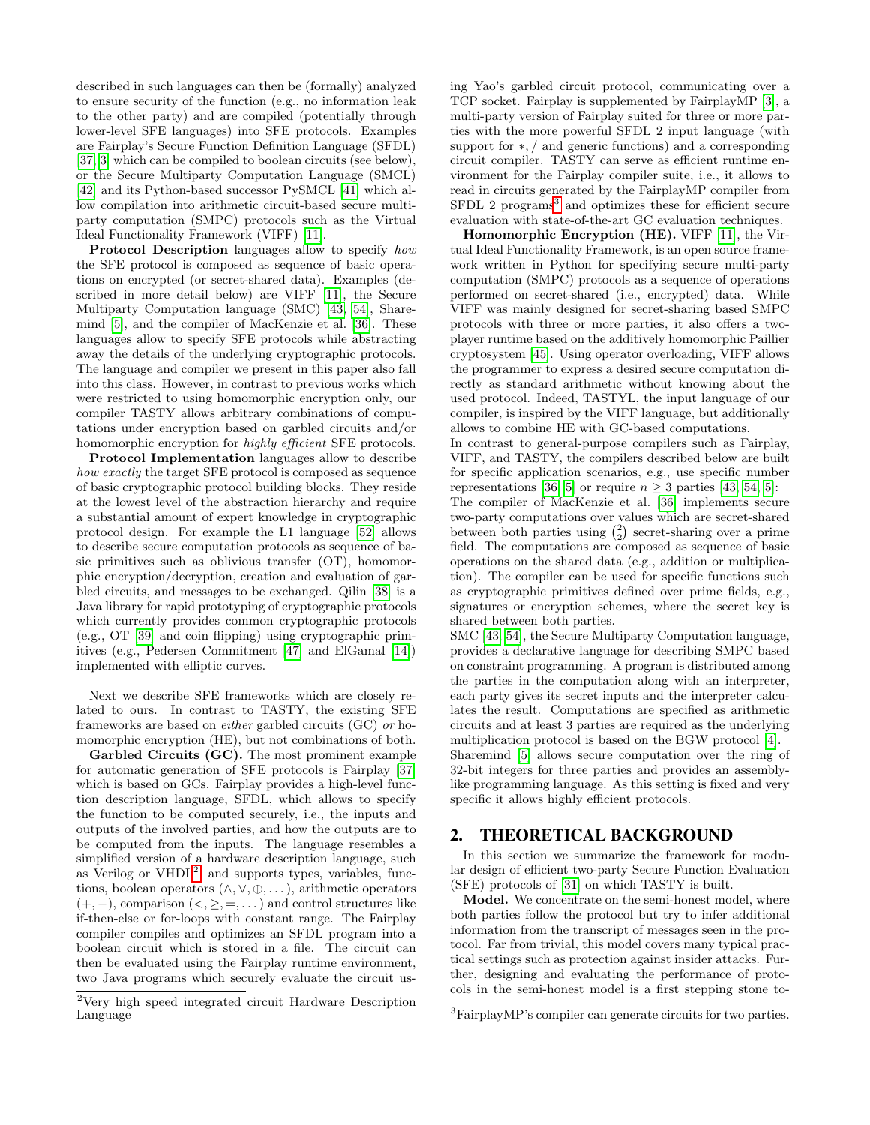described in such languages can then be (formally) analyzed to ensure security of the function (e.g., no information leak to the other party) and are compiled (potentially through lower-level SFE languages) into SFE protocols. Examples are Fairplay's Secure Function Definition Language (SFDL) [\[37,](#page-12-11) [3\]](#page-11-3) which can be compiled to boolean circuits (see below), or the Secure Multiparty Computation Language (SMCL) [\[42\]](#page-12-12) and its Python-based successor PySMCL [\[41\]](#page-12-13) which allow compilation into arithmetic circuit-based secure multiparty computation (SMPC) protocols such as the Virtual Ideal Functionality Framework (VIFF) [\[11\]](#page-11-4).

Protocol Description languages allow to specify how the SFE protocol is composed as sequence of basic operations on encrypted (or secret-shared data). Examples (described in more detail below) are VIFF [\[11\]](#page-11-4), the Secure Multiparty Computation language (SMC) [\[43,](#page-13-9) [54\]](#page-13-10), Sharemind [\[5\]](#page-11-5), and the compiler of MacKenzie et al. [\[36\]](#page-12-14). These languages allow to specify SFE protocols while abstracting away the details of the underlying cryptographic protocols. The language and compiler we present in this paper also fall into this class. However, in contrast to previous works which were restricted to using homomorphic encryption only, our compiler TASTY allows arbitrary combinations of computations under encryption based on garbled circuits and/or homomorphic encryption for highly efficient SFE protocols.

Protocol Implementation languages allow to describe how exactly the target SFE protocol is composed as sequence of basic cryptographic protocol building blocks. They reside at the lowest level of the abstraction hierarchy and require a substantial amount of expert knowledge in cryptographic protocol design. For example the L1 language [\[52\]](#page-13-11) allows to describe secure computation protocols as sequence of basic primitives such as oblivious transfer (OT), homomorphic encryption/decryption, creation and evaluation of garbled circuits, and messages to be exchanged. Qilin [\[38\]](#page-12-15) is a Java library for rapid prototyping of cryptographic protocols which currently provides common cryptographic protocols (e.g., OT [\[39\]](#page-12-16) and coin flipping) using cryptographic primitives (e.g., Pedersen Commitment [\[47\]](#page-13-12) and ElGamal [\[14\]](#page-12-17)) implemented with elliptic curves.

Next we describe SFE frameworks which are closely related to ours. In contrast to TASTY, the existing SFE frameworks are based on either garbled circuits (GC) or homomorphic encryption (HE), but not combinations of both.

Garbled Circuits (GC). The most prominent example for automatic generation of SFE protocols is Fairplay [\[37\]](#page-12-11) which is based on GCs. Fairplay provides a high-level function description language, SFDL, which allows to specify the function to be computed securely, i.e., the inputs and outputs of the involved parties, and how the outputs are to be computed from the inputs. The language resembles a simplified version of a hardware description language, such as Verilog or  $VHDL<sup>2</sup>$  $VHDL<sup>2</sup>$  $VHDL<sup>2</sup>$ , and supports types, variables, functions, boolean operators  $(\wedge, \vee, \oplus, \dots)$ , arithmetic operators  $(+, -)$ , comparison  $(<, \geq, =, \dots)$  and control structures like if-then-else or for-loops with constant range. The Fairplay compiler compiles and optimizes an SFDL program into a boolean circuit which is stored in a file. The circuit can then be evaluated using the Fairplay runtime environment, two Java programs which securely evaluate the circuit using Yao's garbled circuit protocol, communicating over a TCP socket. Fairplay is supplemented by FairplayMP [\[3\]](#page-11-3), a multi-party version of Fairplay suited for three or more parties with the more powerful SFDL 2 input language (with support for ∗, / and generic functions) and a corresponding circuit compiler. TASTY can serve as efficient runtime environment for the Fairplay compiler suite, i.e., it allows to read in circuits generated by the FairplayMP compiler from SFDL 2 programs<sup>[3](#page-2-2)</sup> and optimizes these for efficient secure evaluation with state-of-the-art GC evaluation techniques.

Homomorphic Encryption (HE). VIFF [\[11\]](#page-11-4), the Virtual Ideal Functionality Framework, is an open source framework written in Python for specifying secure multi-party computation (SMPC) protocols as a sequence of operations performed on secret-shared (i.e., encrypted) data. While VIFF was mainly designed for secret-sharing based SMPC protocols with three or more parties, it also offers a twoplayer runtime based on the additively homomorphic Paillier cryptosystem [\[45\]](#page-13-3). Using operator overloading, VIFF allows the programmer to express a desired secure computation directly as standard arithmetic without knowing about the used protocol. Indeed, TASTYL, the input language of our compiler, is inspired by the VIFF language, but additionally allows to combine HE with GC-based computations.

In contrast to general-purpose compilers such as Fairplay, VIFF, and TASTY, the compilers described below are built for specific application scenarios, e.g., use specific number representations [\[36,](#page-12-14) [5\]](#page-11-5) or require  $n \geq 3$  parties [\[43,](#page-13-9) [54,](#page-13-10) 5]:

The compiler of MacKenzie et al. [\[36\]](#page-12-14) implements secure two-party computations over values which are secret-shared between both parties using  $\binom{2}{2}$  secret-sharing over a prime field. The computations are composed as sequence of basic operations on the shared data (e.g., addition or multiplication). The compiler can be used for specific functions such as cryptographic primitives defined over prime fields, e.g., signatures or encryption schemes, where the secret key is shared between both parties.

SMC [\[43,](#page-13-9) [54\]](#page-13-10), the Secure Multiparty Computation language, provides a declarative language for describing SMPC based on constraint programming. A program is distributed among the parties in the computation along with an interpreter, each party gives its secret inputs and the interpreter calculates the result. Computations are specified as arithmetic circuits and at least 3 parties are required as the underlying multiplication protocol is based on the BGW protocol [\[4\]](#page-11-6). Sharemind [\[5\]](#page-11-5) allows secure computation over the ring of 32-bit integers for three parties and provides an assemblylike programming language. As this setting is fixed and very specific it allows highly efficient protocols.

# <span id="page-2-0"></span>2. THEORETICAL BACKGROUND

In this section we summarize the framework for modular design of efficient two-party Secure Function Evaluation (SFE) protocols of [\[31\]](#page-12-8) on which TASTY is built.

Model. We concentrate on the semi-honest model, where both parties follow the protocol but try to infer additional information from the transcript of messages seen in the protocol. Far from trivial, this model covers many typical practical settings such as protection against insider attacks. Further, designing and evaluating the performance of protocols in the semi-honest model is a first stepping stone to-

<span id="page-2-1"></span><sup>2</sup>Very high speed integrated circuit Hardware Description Language

<span id="page-2-2"></span><sup>3</sup>FairplayMP's compiler can generate circuits for two parties.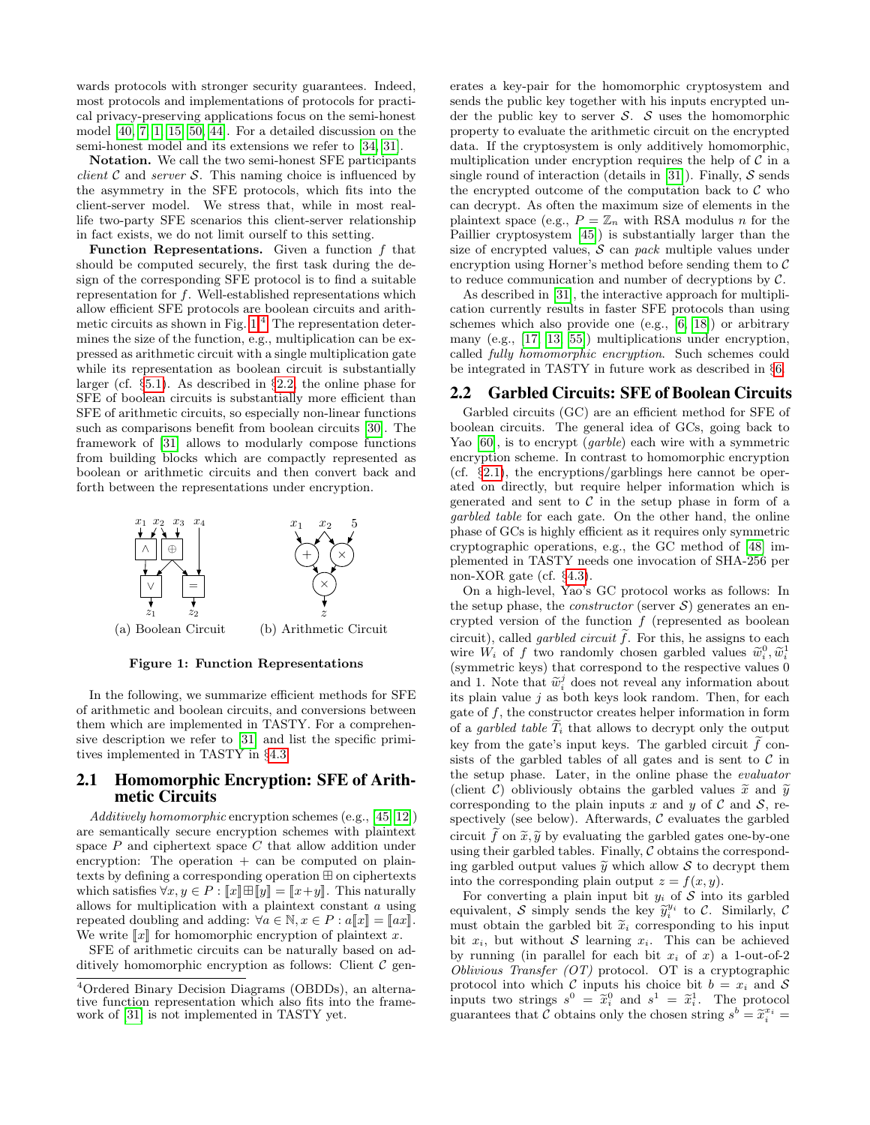wards protocols with stronger security guarantees. Indeed, most protocols and implementations of protocols for practical privacy-preserving applications focus on the semi-honest model [\[40,](#page-12-1) [7,](#page-11-0) [1,](#page-11-1) [15,](#page-12-3) [50,](#page-13-0) [44\]](#page-13-1). For a detailed discussion on the semi-honest model and its extensions we refer to [\[34,](#page-12-2) [31\]](#page-12-8).

Notation. We call the two semi-honest SFE participants *client*  $\mathcal C$  and *server*  $\mathcal S$ . This naming choice is influenced by the asymmetry in the SFE protocols, which fits into the client-server model. We stress that, while in most reallife two-party SFE scenarios this client-server relationship in fact exists, we do not limit ourself to this setting.

**Function Representations.** Given a function  $f$  that should be computed securely, the first task during the design of the corresponding SFE protocol is to find a suitable representation for f. Well-established representations which allow efficient SFE protocols are boolean circuits and arithmetic circuits as shown in Fig.  $1<sup>4</sup>$  $1<sup>4</sup>$  $1<sup>4</sup>$  The representation determines the size of the function, e.g., multiplication can be expressed as arithmetic circuit with a single multiplication gate while its representation as boolean circuit is substantially larger (cf. §[5.1\)](#page-8-1). As described in §[2.2,](#page-3-2) the online phase for SFE of boolean circuits is substantially more efficient than SFE of arithmetic circuits, so especially non-linear functions such as comparisons benefit from boolean circuits [\[30\]](#page-12-18). The framework of [\[31\]](#page-12-8) allows to modularly compose functions from building blocks which are compactly represented as boolean or arithmetic circuits and then convert back and forth between the representations under encryption.



<span id="page-3-0"></span>Figure 1: Function Representations

In the following, we summarize efficient methods for SFE of arithmetic and boolean circuits, and conversions between them which are implemented in TASTY. For a comprehensive description we refer to [\[31\]](#page-12-8) and list the specific primitives implemented in TASTY in §[4.3.](#page-7-0)

# <span id="page-3-3"></span>2.1 Homomorphic Encryption: SFE of Arithmetic Circuits

Additively homomorphic encryption schemes (e.g., [\[45,](#page-13-3) [12\]](#page-12-4)) are semantically secure encryption schemes with plaintext space  $P$  and ciphertext space  $C$  that allow addition under encryption: The operation  $+$  can be computed on plaintexts by defining a corresponding operation  $\boxplus$  on ciphertexts which satisfies  $\forall x, y \in P : \llbracket x \rrbracket \boxplus \llbracket y \rrbracket = \llbracket x + y \rrbracket$ . This naturally allows for multiplication with a plaintext constant  $a$  using repeated doubling and adding:  $\forall a \in \mathbb{N}, x \in P : a[[x]] = [[ax]].$ We write  $\llbracket x \rrbracket$  for homomorphic encryption of plaintext x.

SFE of arithmetic circuits can be naturally based on additively homomorphic encryption as follows: Client  $\mathcal C$  generates a key-pair for the homomorphic cryptosystem and sends the public key together with his inputs encrypted under the public key to server  $S$ .  $S$  uses the homomorphic property to evaluate the arithmetic circuit on the encrypted data. If the cryptosystem is only additively homomorphic, multiplication under encryption requires the help of  $\mathcal C$  in a single round of interaction (details in [\[31\]](#page-12-8)). Finally,  $S$  sends the encrypted outcome of the computation back to  $\mathcal C$  who can decrypt. As often the maximum size of elements in the plaintext space (e.g.,  $P = \mathbb{Z}_n$  with RSA modulus n for the Paillier cryptosystem [\[45\]](#page-13-3)) is substantially larger than the size of encrypted values,  $S$  can pack multiple values under encryption using Horner's method before sending them to  $\mathcal C$ to reduce communication and number of decryptions by  $C$ .

As described in [\[31\]](#page-12-8), the interactive approach for multiplication currently results in faster SFE protocols than using schemes which also provide one (e.g., [\[6,](#page-11-7) [18\]](#page-12-19)) or arbitrary many (e.g., [\[17,](#page-12-5) [13,](#page-12-6) [55\]](#page-13-4)) multiplications under encryption, called fully homomorphic encryption. Such schemes could be integrated in TASTY in future work as described in §[6.](#page-11-2)

#### <span id="page-3-2"></span>2.2 Garbled Circuits: SFE of Boolean Circuits

Garbled circuits (GC) are an efficient method for SFE of boolean circuits. The general idea of GCs, going back to Yao [\[60\]](#page-13-5), is to encrypt (garble) each wire with a symmetric encryption scheme. In contrast to homomorphic encryption (cf. §[2.1\)](#page-3-3), the encryptions/garblings here cannot be operated on directly, but require helper information which is generated and sent to  $\mathcal C$  in the setup phase in form of a garbled table for each gate. On the other hand, the online phase of GCs is highly efficient as it requires only symmetric cryptographic operations, e.g., the GC method of [\[48\]](#page-13-8) implemented in TASTY needs one invocation of SHA-256 per non-XOR gate (cf. §[4.3\)](#page-7-0).

On a high-level, Yao's GC protocol works as follows: In the setup phase, the *constructor* (server  $S$ ) generates an encrypted version of the function  $f$  (represented as boolean circuit), called *garbled circuit*  $\hat{f}$ . For this, he assigns to each wire  $W_i$  of f two randomly chosen garbled values  $\tilde{w}_i^0, \tilde{w}_i^1$ <br>(symmetric lows) that correspond to the respective values 0 (symmetric keys) that correspond to the respective values 0 and 1. Note that  $\tilde{w}_i^j$  does not reveal any information about<br>its plain value i as both keys look random. Then, for each its plain value  $j$  as both keys look random. Then, for each gate of  $f$ , the constructor creates helper information in form of a *garbled table*  $T_i$  that allows to decrypt only the output key from the gate's input keys. The garbled circuit  $\tilde{f}$  consists of the garbled tables of all gates and is sent to  $\mathcal C$  in the setup phase. Later, in the online phase the evaluator (client C) obliviously obtains the garbled values  $\tilde{x}$  and  $\tilde{y}$ corresponding to the plain inputs x and y of C and S, respectively (see below). Afterwards,  $C$  evaluates the garbled circuit  $\tilde{f}$  on  $\tilde{x}, \tilde{y}$  by evaluating the garbled gates one-by-one using their garbled tables. Finally,  $C$  obtains the corresponding garbled output values  $\tilde{y}$  which allow S to decrypt them into the corresponding plain output  $z = f(x, y)$ .

For converting a plain input bit  $y_i$  of S into its garbled equivalent, S simply sends the key  $\tilde{y}_i^{y_i}$  to C. Similarly, C must obtain the garbled bit  $\tilde{x}_i$  corresponding to bis input must obtain the garbled bit  $\tilde{x}_i$  corresponding to his input bit  $x_i$ , but without S learning  $x_i$ . This can be achieved by running (in parallel for each bit  $x_i$  of x) a 1-out-of-2 *Oblivious Transfer (OT)* protocol. OT is a cryptographic protocol into which C inputs his choice bit  $b = x_i$  and S inputs two strings  $s^0 = \tilde{x}_i^0$  and  $s^1 = \tilde{x}_i^1$ . The protocol guarantees that  $\tilde{\mathcal{C}}$  obtains only the chosen string  $s^b = \tilde{x}_i^{x_i} =$ 

<span id="page-3-1"></span><sup>4</sup>Ordered Binary Decision Diagrams (OBDDs), an alternative function representation which also fits into the framework of [\[31\]](#page-12-8) is not implemented in TASTY yet.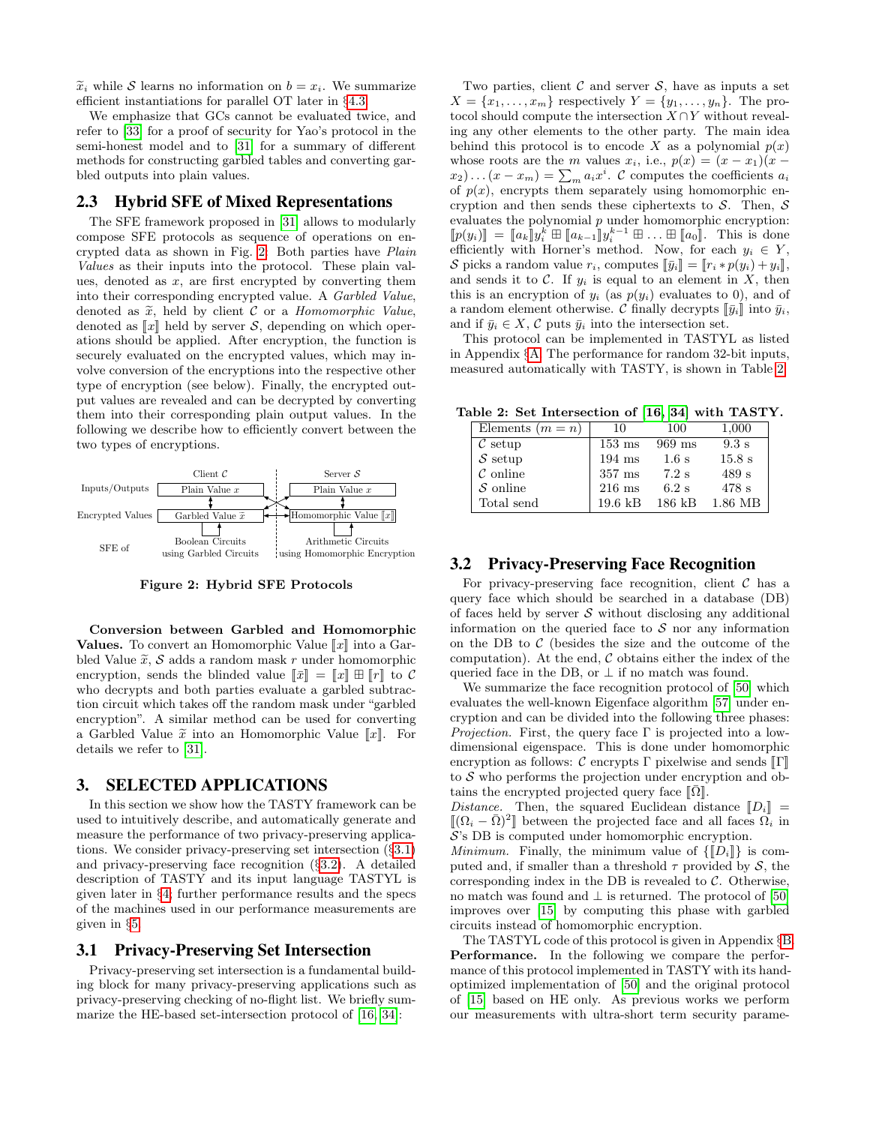$\tilde{x}_i$  while S learns no information on  $b = x_i$ . We summarize efficient instantiations for parallel OT later in §[4.3.](#page-7-0)

We emphasize that GCs cannot be evaluated twice, and refer to [\[33\]](#page-12-20) for a proof of security for Yao's protocol in the semi-honest model and to [\[31\]](#page-12-8) for a summary of different methods for constructing garbled tables and converting garbled outputs into plain values.

## 2.3 Hybrid SFE of Mixed Representations

The SFE framework proposed in [\[31\]](#page-12-8) allows to modularly compose SFE protocols as sequence of operations on encrypted data as shown in Fig. [2:](#page-4-1) Both parties have Plain Values as their inputs into the protocol. These plain values, denoted as  $x$ , are first encrypted by converting them into their corresponding encrypted value. A Garbled Value, denoted as  $\tilde{x}$ , held by client C or a *Homomorphic Value*, denoted as  $\llbracket x \rrbracket$  held by server S, depending on which operations should be applied. After encryption, the function is securely evaluated on the encrypted values, which may involve conversion of the encryptions into the respective other type of encryption (see below). Finally, the encrypted output values are revealed and can be decrypted by converting them into their corresponding plain output values. In the following we describe how to efficiently convert between the two types of encryptions.



<span id="page-4-1"></span>Figure 2: Hybrid SFE Protocols

Conversion between Garbled and Homomorphic **Values.** To convert an Homomorphic Value  $\llbracket x \rrbracket$  into a Garbled Value  $\tilde{x}$ , S adds a random mask r under homomorphic encryption, sends the blinded value  $\llbracket \bar{x} \rrbracket = \llbracket x \rrbracket \boxplus \llbracket r \rrbracket$  to C who decrypts and both parties evaluate a garbled subtraction circuit which takes off the random mask under "garbled encryption". A similar method can be used for converting a Garbled Value  $\tilde{x}$  into an Homomorphic Value  $\llbracket x \rrbracket$ . For details we refer to [\[31\]](#page-12-8).

# <span id="page-4-0"></span>3. SELECTED APPLICATIONS

In this section we show how the TASTY framework can be used to intuitively describe, and automatically generate and measure the performance of two privacy-preserving applications. We consider privacy-preserving set intersection (§[3.1\)](#page-4-2) and privacy-preserving face recognition (§[3.2\)](#page-4-3). A detailed description of TASTY and its input language TASTYL is given later in §[4;](#page-5-0) further performance results and the specs of the machines used in our performance measurements are given in §[5.](#page-8-2)

### <span id="page-4-2"></span>3.1 Privacy-Preserving Set Intersection

Privacy-preserving set intersection is a fundamental building block for many privacy-preserving applications such as privacy-preserving checking of no-flight list. We briefly summarize the HE-based set-intersection protocol of [\[16,](#page-12-21) [34\]](#page-12-2):

Two parties, client  $\mathcal C$  and server  $\mathcal S$ , have as inputs a set  $X = \{x_1, \ldots, x_m\}$  respectively  $Y = \{y_1, \ldots, y_n\}$ . The protocol should compute the intersection  $X \cap Y$  without revealing any other elements to the other party. The main idea behind this protocol is to encode X as a polynomial  $p(x)$ whose roots are the m values  $x_i$ , i.e.,  $p(x) = (x - x_1)(x (x_2)...(x-x_m) = \sum_{m} a_i x^i$ . C computes the coefficients  $a_i$ of  $p(x)$ , encrypts them separately using homomorphic encryption and then sends these ciphertexts to  $S$ . Then,  $S$ evaluates the polynomial  $p$  under homomorphic encryption:  $[p(y_i)] = [a_k] y_i^k \boxplus [a_{k-1}] y_i^{k-1} \boxplus \dots \boxplus [a_0]$ . This is done<br>officiently with Herner's method. Now, for each  $y_i \in V$ efficiently with Horner's method. Now, for each  $y_i \in Y$ , S picks a random value  $r_i$ , computes  $\llbracket \bar{y}_i \rrbracket = \llbracket r_i * p(y_i) + y_i \rrbracket$ , and sends it to  $C$ . If  $y_i$  is equal to an element in  $X$ , then this is an encryption of  $y_i$  (as  $p(y_i)$  evaluates to 0), and of a random element otherwise. C finally decrypts  $\llbracket \bar{y}_i \rrbracket$  into  $\bar{y}_i$ , and if  $\bar{y}_i \in X$ ,  $\mathcal C$  puts  $\bar{y}_i$  into the intersection set.

This protocol can be implemented in TASTYL as listed in Appendix §[A.](#page-13-13) The performance for random 32-bit inputs, measured automatically with TASTY, is shown in Table [2.](#page-4-4)

Table 2: Set Intersection of [\[16,](#page-12-21) [34\]](#page-12-2) with TASTY.

<span id="page-4-4"></span>

| Elements $(m = n)$  | 10                | 100      | 1,000            |
|---------------------|-------------------|----------|------------------|
| $\mathcal{C}$ setup | $153 \text{ ms}$  | $969$ ms | $9.3 \mathrm{s}$ |
| $S$ setup           | $194$ ms          | 1.6 s    | 15.8 s           |
| $\mathcal C$ online | $357 \text{ ms}$  | $7.2$ s  | 489 s            |
| $\mathcal S$ online | $216$ ms          | $6.2$ s  | 478 s            |
| Total send          | $19.6 \text{ kB}$ | $186$ kB | 1.86 MB          |

## <span id="page-4-3"></span>3.2 Privacy-Preserving Face Recognition

For privacy-preserving face recognition, client  $\mathcal C$  has a query face which should be searched in a database (DB) of faces held by server  $\mathcal S$  without disclosing any additional information on the queried face to  $S$  nor any information on the DB to  $\mathcal C$  (besides the size and the outcome of the computation). At the end,  $\mathcal C$  obtains either the index of the queried face in the DB, or  $\perp$  if no match was found.

We summarize the face recognition protocol of [\[50\]](#page-13-0) which evaluates the well-known Eigenface algorithm [\[57\]](#page-13-14) under encryption and can be divided into the following three phases: *Projection.* First, the query face  $\Gamma$  is projected into a lowdimensional eigenspace. This is done under homomorphic encryption as follows:  $\mathcal C$  encrypts  $\Gamma$  pixelwise and sends  $\llbracket \Gamma \rrbracket$ to  $S$  who performs the projection under encryption and obtains the encrypted projected query face  $\|\bar{\Omega}\|$ .

Distance. Then, the squared Euclidean distance  $\llbracket D_i \rrbracket$  =  $[(\Omega_i - \bar{\Omega})^2]$  between the projected face and all faces  $\Omega_i$  in  $S$ 's DB is computed under homomorphic oneruption S's DB is computed under homomorphic encryption.

*Minimum.* Finally, the minimum value of  $\{[[D_i]]\}$  is computed and, if smaller than a threshold  $\tau$  provided by  $\mathcal{S}$ , the corresponding index in the DB is revealed to  $C$ . Otherwise, no match was found and  $\perp$  is returned. The protocol of [\[50\]](#page-13-0) improves over [\[15\]](#page-12-3) by computing this phase with garbled circuits instead of homomorphic encryption.

The TASTYL code of this protocol is given in Appendix §[B.](#page-13-15) Performance. In the following we compare the performance of this protocol implemented in TASTY with its handoptimized implementation of [\[50\]](#page-13-0) and the original protocol of [\[15\]](#page-12-3) based on HE only. As previous works we perform our measurements with ultra-short term security parame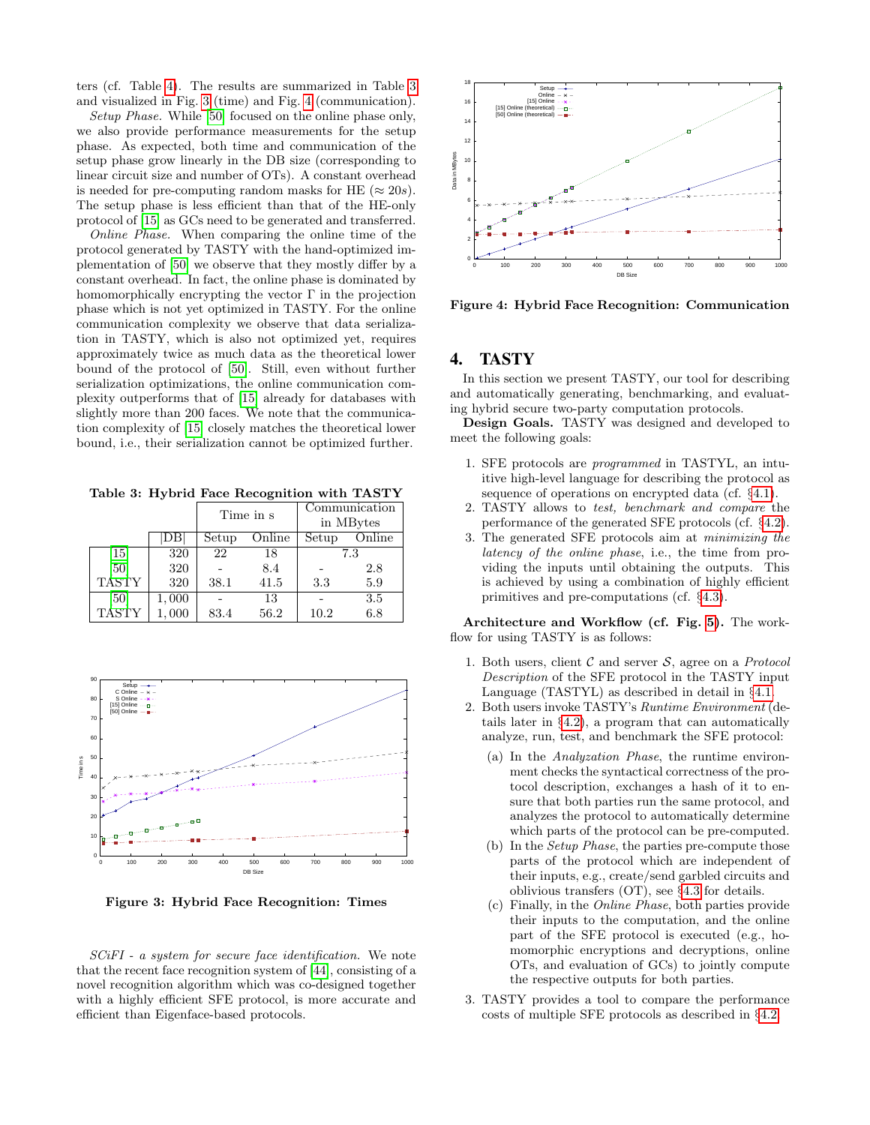ters (cf. Table [4\)](#page-8-3). The results are summarized in Table [3](#page-5-1) and visualized in Fig. [3](#page-5-2) (time) and Fig. [4](#page-5-3) (communication).

Setup Phase. While [\[50\]](#page-13-0) focused on the online phase only, we also provide performance measurements for the setup phase. As expected, both time and communication of the setup phase grow linearly in the DB size (corresponding to linear circuit size and number of OTs). A constant overhead is needed for pre-computing random masks for HE ( $\approx 20s$ ). The setup phase is less efficient than that of the HE-only protocol of [\[15\]](#page-12-3) as GCs need to be generated and transferred.

Online Phase. When comparing the online time of the protocol generated by TASTY with the hand-optimized implementation of [\[50\]](#page-13-0) we observe that they mostly differ by a constant overhead. In fact, the online phase is dominated by homomorphically encrypting the vector  $\Gamma$  in the projection phase which is not yet optimized in TASTY. For the online communication complexity we observe that data serialization in TASTY, which is also not optimized yet, requires approximately twice as much data as the theoretical lower bound of the protocol of [\[50\]](#page-13-0). Still, even without further serialization optimizations, the online communication complexity outperforms that of [\[15\]](#page-12-3) already for databases with slightly more than 200 faces. We note that the communication complexity of [\[15\]](#page-12-3) closely matches the theoretical lower bound, i.e., their serialization cannot be optimized further.

<span id="page-5-1"></span>Table 3: Hybrid Face Recognition with TASTY

|                               |       | Time in s |        | Communication<br>in MBytes |        |
|-------------------------------|-------|-----------|--------|----------------------------|--------|
|                               |       | Setup     | Online | Setup                      | Online |
| $\left\lceil 15 \right\rceil$ | 320   | 22        | 18     |                            | 7.3    |
| [50]                          | 320   |           | 8.4    |                            | 2.8    |
| <b>TASTY</b>                  | 320   | 38.1      | 41.5   | 3.3                        | 5.9    |
| [50]                          | 1,000 |           | 13     |                            | 3.5    |
| <b>TASTY</b>                  | 000   | 83.4      | 56.2   | 10.2                       | 6.8    |



<span id="page-5-2"></span>Figure 3: Hybrid Face Recognition: Times

SCiFI - a system for secure face identification. We note that the recent face recognition system of [\[44\]](#page-13-1), consisting of a novel recognition algorithm which was co-designed together with a highly efficient SFE protocol, is more accurate and efficient than Eigenface-based protocols.



<span id="page-5-3"></span>Figure 4: Hybrid Face Recognition: Communication

# <span id="page-5-0"></span>4. TASTY

In this section we present TASTY, our tool for describing and automatically generating, benchmarking, and evaluating hybrid secure two-party computation protocols.

Design Goals. TASTY was designed and developed to meet the following goals:

- 1. SFE protocols are programmed in TASTYL, an intuitive high-level language for describing the protocol as sequence of operations on encrypted data (cf. §[4.1\)](#page-6-0).
- 2. TASTY allows to test, benchmark and compare the performance of the generated SFE protocols (cf. §[4.2\)](#page-7-1).
- 3. The generated SFE protocols aim at minimizing the latency of the online phase, i.e., the time from providing the inputs until obtaining the outputs. This is achieved by using a combination of highly efficient primitives and pre-computations (cf. §[4.3\)](#page-7-0).

Architecture and Workflow (cf. Fig. [5\)](#page-6-1). The workflow for using TASTY is as follows:

- 1. Both users, client  $\mathcal C$  and server  $\mathcal S$ , agree on a *Protocol* Description of the SFE protocol in the TASTY input Language (TASTYL) as described in detail in §[4.1.](#page-6-0)
- 2. Both users invoke TASTY's Runtime Environment (details later in §[4.2\)](#page-7-1), a program that can automatically analyze, run, test, and benchmark the SFE protocol:
	- (a) In the Analyzation Phase, the runtime environment checks the syntactical correctness of the protocol description, exchanges a hash of it to ensure that both parties run the same protocol, and analyzes the protocol to automatically determine which parts of the protocol can be pre-computed.
	- (b) In the Setup Phase, the parties pre-compute those parts of the protocol which are independent of their inputs, e.g., create/send garbled circuits and oblivious transfers (OT), see §[4.3](#page-7-0) for details.
	- (c) Finally, in the Online Phase, both parties provide their inputs to the computation, and the online part of the SFE protocol is executed (e.g., homomorphic encryptions and decryptions, online OTs, and evaluation of GCs) to jointly compute the respective outputs for both parties.
- 3. TASTY provides a tool to compare the performance costs of multiple SFE protocols as described in §[4.2.](#page-7-1)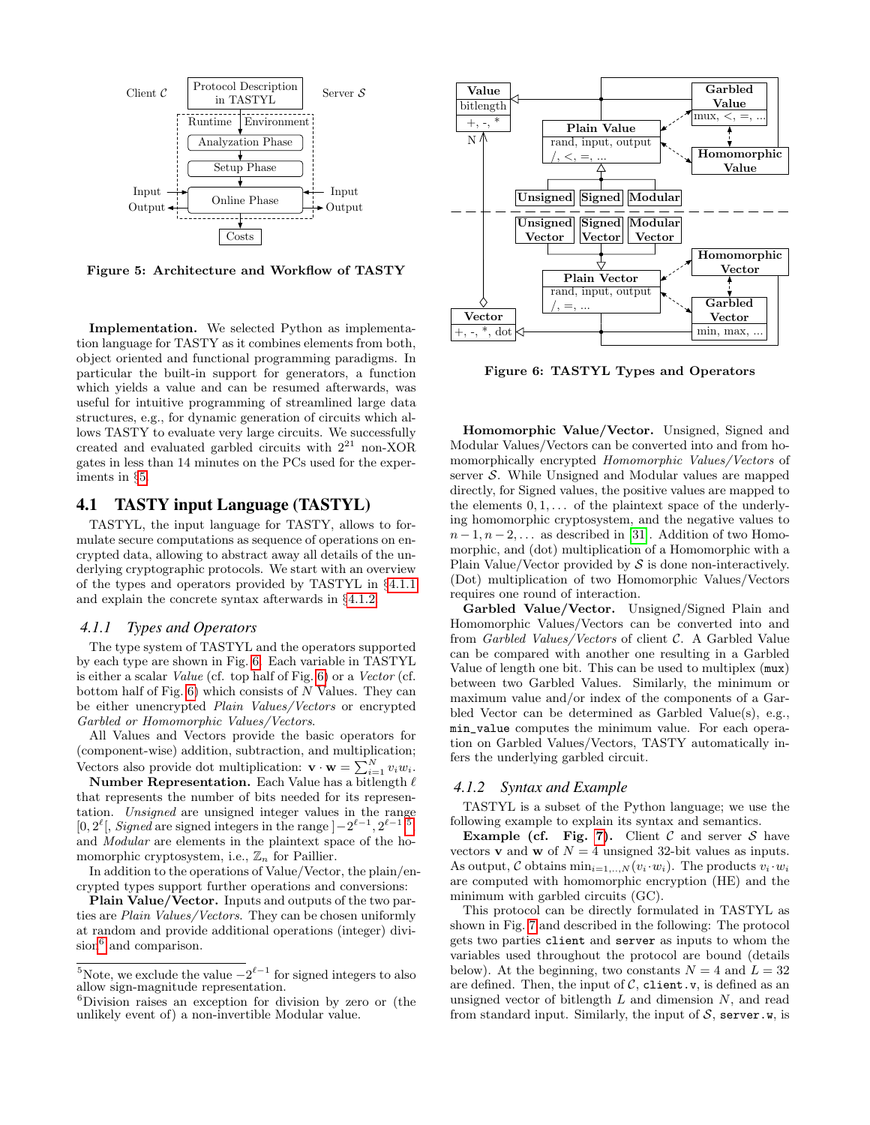

<span id="page-6-1"></span>Figure 5: Architecture and Workflow of TASTY

Implementation. We selected Python as implementation language for TASTY as it combines elements from both, object oriented and functional programming paradigms. In particular the built-in support for generators, a function which yields a value and can be resumed afterwards, was useful for intuitive programming of streamlined large data structures, e.g., for dynamic generation of circuits which allows TASTY to evaluate very large circuits. We successfully created and evaluated garbled circuits with  $2^{21}$  non-XOR gates in less than 14 minutes on the PCs used for the experiments in §[5.](#page-8-2)

#### <span id="page-6-0"></span>4.1 TASTY input Language (TASTYL)

TASTYL, the input language for TASTY, allows to formulate secure computations as sequence of operations on encrypted data, allowing to abstract away all details of the underlying cryptographic protocols. We start with an overview of the types and operators provided by TASTYL in §[4.1.1](#page-6-2) and explain the concrete syntax afterwards in §[4.1.2.](#page-6-3)

## <span id="page-6-2"></span>*4.1.1 Types and Operators*

The type system of TASTYL and the operators supported by each type are shown in Fig. [6.](#page-6-4) Each variable in TASTYL is either a scalar Value (cf. top half of Fig. [6\)](#page-6-4) or a Vector (cf. bottom half of Fig. [6\)](#page-6-4) which consists of N Values. They can be either unencrypted Plain Values/Vectors or encrypted Garbled or Homomorphic Values/Vectors.

All Values and Vectors provide the basic operators for (component-wise) addition, subtraction, and multiplication; Vectors also provide dot multiplication:  $\mathbf{v} \cdot \mathbf{w} = \sum_{i=1}^{N} v_i w_i$ .

Number Representation. Each Value has a bitlength  $\ell$ that represents the number of bits needed for its representation. Unsigned are unsigned integer values in the range [0,  $2^{\ell}$ ], *Signed* are signed integers in the range  $]-2^{\ell-1}, 2^{\ell-1}[^5,$  $]-2^{\ell-1}, 2^{\ell-1}[^5,$  $]-2^{\ell-1}, 2^{\ell-1}[^5,$ and Modular are elements in the plaintext space of the homomorphic cryptosystem, i.e.,  $\mathbb{Z}_n$  for Paillier.

In addition to the operations of Value/Vector, the plain/encrypted types support further operations and conversions:

Plain Value/Vector. Inputs and outputs of the two parties are Plain Values/Vectors. They can be chosen uniformly at random and provide additional operations (integer) divi-sion<sup>[6](#page-6-6)</sup> and comparison.



<span id="page-6-4"></span>Figure 6: TASTYL Types and Operators

Homomorphic Value/Vector. Unsigned, Signed and Modular Values/Vectors can be converted into and from homomorphically encrypted Homomorphic Values/Vectors of server S. While Unsigned and Modular values are mapped directly, for Signed values, the positive values are mapped to the elements  $0, 1, \ldots$  of the plaintext space of the underlying homomorphic cryptosystem, and the negative values to  $n-1, n-2, \ldots$  as described in [\[31\]](#page-12-8). Addition of two Homomorphic, and (dot) multiplication of a Homomorphic with a Plain Value/Vector provided by  $S$  is done non-interactively. (Dot) multiplication of two Homomorphic Values/Vectors requires one round of interaction.

Garbled Value/Vector. Unsigned/Signed Plain and Homomorphic Values/Vectors can be converted into and from Garbled Values/Vectors of client C. A Garbled Value can be compared with another one resulting in a Garbled Value of length one bit. This can be used to multiplex (mux) between two Garbled Values. Similarly, the minimum or maximum value and/or index of the components of a Garbled Vector can be determined as Garbled Value(s), e.g., min\_value computes the minimum value. For each operation on Garbled Values/Vectors, TASTY automatically infers the underlying garbled circuit.

#### <span id="page-6-3"></span>*4.1.2 Syntax and Example*

TASTYL is a subset of the Python language; we use the following example to explain its syntax and semantics.

Example (cf. Fig. [7\)](#page-7-2). Client  $C$  and server  $S$  have vectors **v** and **w** of  $N = 4$  unsigned 32-bit values as inputs. As output, C obtains  $\min_{i=1,...,N} (v_i \cdot w_i)$ . The products  $v_i \cdot w_i$ are computed with homomorphic encryption (HE) and the minimum with garbled circuits (GC).

This protocol can be directly formulated in TASTYL as shown in Fig. [7](#page-7-2) and described in the following: The protocol gets two parties client and server as inputs to whom the variables used throughout the protocol are bound (details below). At the beginning, two constants  $N = 4$  and  $L = 32$ are defined. Then, the input of  $C$ , client.v, is defined as an unsigned vector of bitlength  $L$  and dimension  $N$ , and read from standard input. Similarly, the input of  $S$ , server.w, is

<span id="page-6-5"></span><sup>&</sup>lt;sup>5</sup>Note, we exclude the value  $-2^{\ell-1}$  for signed integers to also allow sign-magnitude representation.

<span id="page-6-6"></span><sup>6</sup>Division raises an exception for division by zero or (the unlikely event of) a non-invertible Modular value.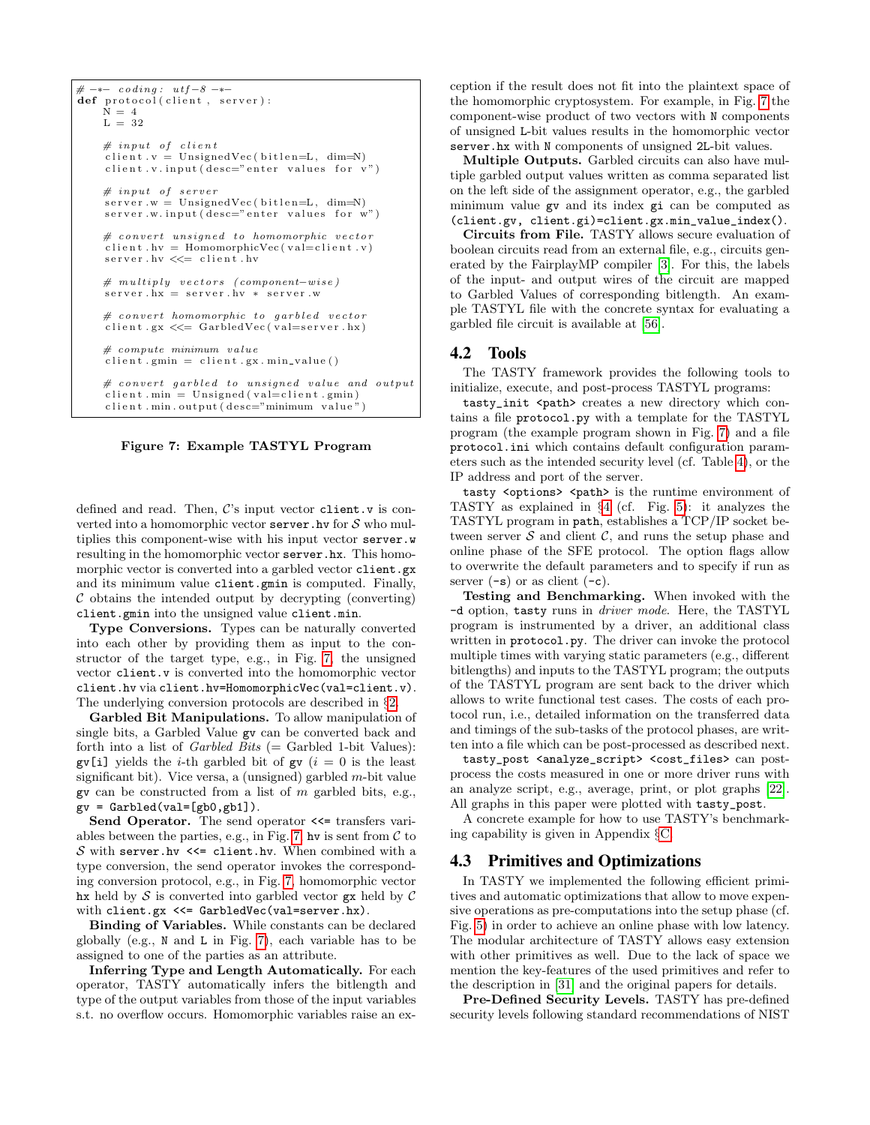```
# \rightarrow - coding: utf-8 -*def protocol(client, server):
    \overline{N} = 4L = 32# input of client\text{client.} v = \text{UnsignedVec}(\text{bitlen=L}, \text{ dim=N})client v input (desc=" enter values for v")
    # input of server
    s erver w = UnsignedVec (bitlen=L, dim=N)
    server.w. input (desc="enter value of our w")# convert unsigned to homomorphic vector
    client.hv = HomomorphicVec (val=client.v)
    s er v e r . hv \ll= client . hv
    # multiply vectors (component-wise)
    s erver .hx = server .hv * server .w
    # convert homomorphic to garbled vector
    client .gx \ll= GarbledVec (val=server .hx)
    # compute minimum value
     client . gmin = client . gx . min_value ()# convert garbled to unsigned value and output
     \text{client .} \text{min} = \text{Unsigned} (\text{val=client .} \text{gmin})client . min . output (desc="minimum value'')
```
<span id="page-7-2"></span>

defined and read. Then,  $\mathcal{C}'$ 's input vector client. v is converted into a homomorphic vector server. hv for  $S$  who multiplies this component-wise with his input vector server.w resulting in the homomorphic vector server.hx. This homomorphic vector is converted into a garbled vector client.gx and its minimum value client.gmin is computed. Finally,  $\mathcal C$  obtains the intended output by decrypting (converting) client.gmin into the unsigned value client.min.

Type Conversions. Types can be naturally converted into each other by providing them as input to the constructor of the target type, e.g., in Fig. [7,](#page-7-2) the unsigned vector client.v is converted into the homomorphic vector client.hv via client.hv=HomomorphicVec(val=client.v). The underlying conversion protocols are described in §[2.](#page-2-0)

Garbled Bit Manipulations. To allow manipulation of single bits, a Garbled Value gv can be converted back and forth into a list of *Garbled Bits* (= Garbled 1-bit Values):  $\text{gv}[i]$  yields the *i*-th garbled bit of  $\text{gv}(i = 0)$  is the least significant bit). Vice versa, a (unsigned) garbled  $m$ -bit value gv can be constructed from a list of  $m$  garbled bits, e.g.,  $gv = Garbled(val=[gb0,gb1]).$ 

Send Operator. The send operator  $\le$  transfers vari-ables between the parties, e.g., in Fig. [7,](#page-7-2) hv is sent from  $\mathcal C$  to S with server.hv  $\leq$  client.hv. When combined with a type conversion, the send operator invokes the corresponding conversion protocol, e.g., in Fig. [7,](#page-7-2) homomorphic vector hx held by  $S$  is converted into garbled vector  $gx$  held by  $C$ with client.gx <<= GarbledVec(val=server.hx).

Binding of Variables. While constants can be declared globally (e.g., N and L in Fig. [7\)](#page-7-2), each variable has to be assigned to one of the parties as an attribute.

Inferring Type and Length Automatically. For each operator, TASTY automatically infers the bitlength and type of the output variables from those of the input variables s.t. no overflow occurs. Homomorphic variables raise an exception if the result does not fit into the plaintext space of the homomorphic cryptosystem. For example, in Fig. [7](#page-7-2) the component-wise product of two vectors with N components of unsigned L-bit values results in the homomorphic vector server.hx with N components of unsigned 2L-bit values.

Multiple Outputs. Garbled circuits can also have multiple garbled output values written as comma separated list on the left side of the assignment operator, e.g., the garbled minimum value gv and its index gi can be computed as (client.gv, client.gi)=client.gx.min\_value\_index().

Circuits from File. TASTY allows secure evaluation of boolean circuits read from an external file, e.g., circuits generated by the FairplayMP compiler [\[3\]](#page-11-3). For this, the labels of the input- and output wires of the circuit are mapped to Garbled Values of corresponding bitlength. An example TASTYL file with the concrete syntax for evaluating a garbled file circuit is available at [\[56\]](#page-13-16).

#### <span id="page-7-1"></span>4.2 Tools

The TASTY framework provides the following tools to initialize, execute, and post-process TASTYL programs:

tasty\_init <path> creates a new directory which contains a file protocol.py with a template for the TASTYL program (the example program shown in Fig. [7\)](#page-7-2) and a file protocol.ini which contains default configuration parameters such as the intended security level (cf. Table [4\)](#page-8-3), or the IP address and port of the server.

tasty <options> <path> is the runtime environment of TASTY as explained in §[4](#page-5-0) (cf. Fig. [5\)](#page-6-1): it analyzes the TASTYL program in path, establishes a TCP/IP socket between server  $\mathcal S$  and client  $\mathcal C$ , and runs the setup phase and online phase of the SFE protocol. The option flags allow to overwrite the default parameters and to specify if run as server  $(-s)$  or as client  $(-c)$ .

Testing and Benchmarking. When invoked with the -d option, tasty runs in driver mode. Here, the TASTYL program is instrumented by a driver, an additional class written in protocol.py. The driver can invoke the protocol multiple times with varying static parameters (e.g., different bitlengths) and inputs to the TASTYL program; the outputs of the TASTYL program are sent back to the driver which allows to write functional test cases. The costs of each protocol run, i.e., detailed information on the transferred data and timings of the sub-tasks of the protocol phases, are written into a file which can be post-processed as described next.

tasty\_post <analyze\_script> <cost\_files> can postprocess the costs measured in one or more driver runs with an analyze script, e.g., average, print, or plot graphs [\[22\]](#page-12-22). All graphs in this paper were plotted with tasty\_post.

A concrete example for how to use TASTY's benchmarking capability is given in Appendix §[C.](#page-14-0)

#### <span id="page-7-0"></span>4.3 Primitives and Optimizations

In TASTY we implemented the following efficient primitives and automatic optimizations that allow to move expensive operations as pre-computations into the setup phase (cf. Fig. [5\)](#page-6-1) in order to achieve an online phase with low latency. The modular architecture of TASTY allows easy extension with other primitives as well. Due to the lack of space we mention the key-features of the used primitives and refer to the description in [\[31\]](#page-12-8) and the original papers for details.

Pre-Defined Security Levels. TASTY has pre-defined security levels following standard recommendations of NIST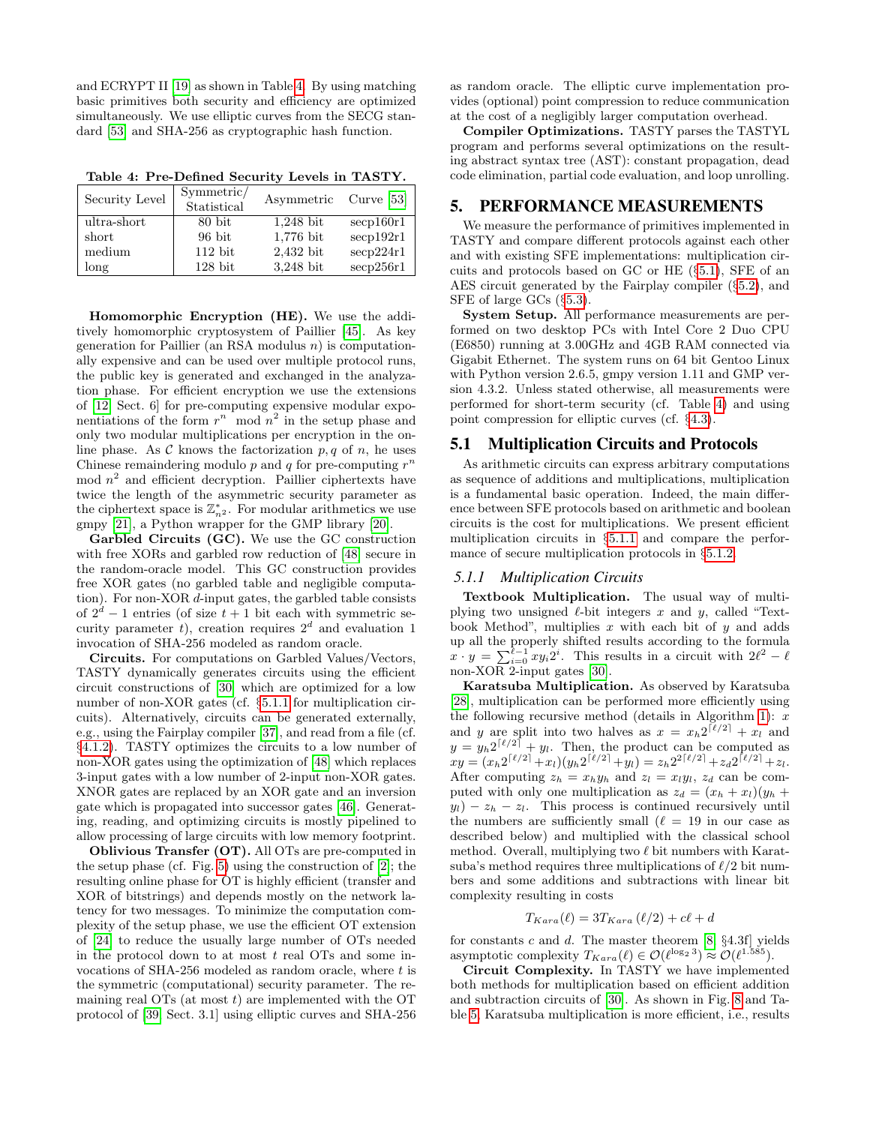and ECRYPT II [\[19\]](#page-12-23) as shown in Table [4.](#page-8-3) By using matching basic primitives both security and efficiency are optimized simultaneously. We use elliptic curves from the SECG standard [\[53\]](#page-13-17) and SHA-256 as cryptographic hash function.

<span id="page-8-3"></span>Table 4: Pre-Defined Security Levels in TASTY.

| Security Level | Symmetric/<br>Statistical | Asymmetric Curve [53] |                      |
|----------------|---------------------------|-----------------------|----------------------|
| ultra-short    | 80 bit                    | $1,248$ bit           | $\mathrm{secp160r1}$ |
| short          | $96\;$ bit                | $1,776$ bit           | secp192r1            |
| medium         | $112$ bit                 | 2,432 bit             | secp224r1            |
| long           | $128$ bit                 | $3,248$ bit           | $\sec 256r1$         |

Homomorphic Encryption (HE). We use the additively homomorphic cryptosystem of Paillier [\[45\]](#page-13-3). As key generation for Paillier (an RSA modulus  $n$ ) is computationally expensive and can be used over multiple protocol runs, the public key is generated and exchanged in the analyzation phase. For efficient encryption we use the extensions of [\[12,](#page-12-4) Sect. 6] for pre-computing expensive modular exponentiations of the form  $r^n$  mod  $n^2$  in the setup phase and only two modular multiplications per encryption in the online phase. As  $\mathcal C$  knows the factorization p, q of n, he uses Chinese remaindering modulo  $p$  and  $q$  for pre-computing  $r^n$ mod  $n^2$  and efficient decryption. Paillier ciphertexts have twice the length of the asymmetric security parameter as the ciphertext space is  $\mathbb{Z}_{n^2}^*$ . For modular arithmetics we use gmpy [\[21\]](#page-12-24), a Python wrapper for the GMP library [\[20\]](#page-12-25).

Garbled Circuits (GC). We use the GC construction with free XORs and garbled row reduction of [\[48\]](#page-13-8) secure in the random-oracle model. This GC construction provides free XOR gates (no garbled table and negligible computation). For non-XOR d-input gates, the garbled table consists of  $2^d - 1$  entries (of size  $t + 1$  bit each with symmetric security parameter t, creation requires  $2^d$  and evaluation 1 invocation of SHA-256 modeled as random oracle.

Circuits. For computations on Garbled Values/Vectors, TASTY dynamically generates circuits using the efficient circuit constructions of [\[30\]](#page-12-18) which are optimized for a low number of non-XOR gates (cf. §[5.1.1](#page-8-0) for multiplication circuits). Alternatively, circuits can be generated externally, e.g., using the Fairplay compiler [\[37\]](#page-12-11), and read from a file (cf. §[4.1.2\)](#page-7-2). TASTY optimizes the circuits to a low number of non-XOR gates using the optimization of [\[48\]](#page-13-8) which replaces 3-input gates with a low number of 2-input non-XOR gates. XNOR gates are replaced by an XOR gate and an inversion gate which is propagated into successor gates [\[46\]](#page-13-18). Generating, reading, and optimizing circuits is mostly pipelined to allow processing of large circuits with low memory footprint.

Oblivious Transfer (OT). All OTs are pre-computed in the setup phase (cf. Fig. [5\)](#page-6-1) using the construction of [\[2\]](#page-11-8); the resulting online phase for OT is highly efficient (transfer and XOR of bitstrings) and depends mostly on the network latency for two messages. To minimize the computation complexity of the setup phase, we use the efficient OT extension of [\[24\]](#page-12-26) to reduce the usually large number of OTs needed in the protocol down to at most  $t$  real OTs and some invocations of SHA-256 modeled as random oracle, where t is the symmetric (computational) security parameter. The remaining real OTs (at most  $t$ ) are implemented with the OT protocol of [\[39,](#page-12-16) Sect. 3.1] using elliptic curves and SHA-256 as random oracle. The elliptic curve implementation provides (optional) point compression to reduce communication at the cost of a negligibly larger computation overhead.

Compiler Optimizations. TASTY parses the TASTYL program and performs several optimizations on the resulting abstract syntax tree (AST): constant propagation, dead code elimination, partial code evaluation, and loop unrolling.

## <span id="page-8-2"></span>5. PERFORMANCE MEASUREMENTS

We measure the performance of primitives implemented in TASTY and compare different protocols against each other and with existing SFE implementations: multiplication circuits and protocols based on GC or HE (§[5.1\)](#page-8-1), SFE of an AES circuit generated by the Fairplay compiler (§[5.2\)](#page-10-0), and SFE of large GCs (§[5.3\)](#page-10-1).

System Setup. All performance measurements are performed on two desktop PCs with Intel Core 2 Duo CPU (E6850) running at 3.00GHz and 4GB RAM connected via Gigabit Ethernet. The system runs on 64 bit Gentoo Linux with Python version 2.6.5, gmpy version 1.11 and GMP version 4.3.2. Unless stated otherwise, all measurements were performed for short-term security (cf. Table [4\)](#page-8-3) and using point compression for elliptic curves (cf. §[4.3\)](#page-8-3).

## <span id="page-8-1"></span>5.1 Multiplication Circuits and Protocols

As arithmetic circuits can express arbitrary computations as sequence of additions and multiplications, multiplication is a fundamental basic operation. Indeed, the main difference between SFE protocols based on arithmetic and boolean circuits is the cost for multiplications. We present efficient multiplication circuits in §[5.1.1](#page-8-0) and compare the performance of secure multiplication protocols in §[5.1.2.](#page-9-0)

#### <span id="page-8-0"></span>*5.1.1 Multiplication Circuits*

Textbook Multiplication. The usual way of multiplying two unsigned  $\ell$ -bit integers x and y, called "Textbook Method", multiplies  $x$  with each bit of  $y$  and adds up all the properly shifted results according to the formula  $x \cdot y = \sum_{i=0}^{\ell-1} xy_i 2^i$ . This results in a circuit with  $2\ell^2 - \ell$ non-XOR 2-input gates [\[30\]](#page-12-18).

Karatsuba Multiplication. As observed by Karatsuba [\[28\]](#page-12-9), multiplication can be performed more efficiently using the following recursive method (details in Algorithm [1\)](#page-9-1):  $x$ and y are split into two halves as  $x = x_h 2^{\lceil \ell/2 \rceil} + x_l$  and  $y = y_h 2^{\lceil \ell/2 \rceil} + y_l$ . Then, the product can be computed as  $xy = (x_h 2^{\lceil \ell/2 \rceil} + x_l)(y_h 2^{\lceil \ell/2 \rceil} + y_l) = z_h 2^{2\lceil \ell/2 \rceil} + z_d 2^{\lceil \ell/2 \rceil} + z_l.$ After computing  $z_h = x_h y_h$  and  $z_l = x_l y_l$ ,  $z_d$  can be computed with only one multiplication as  $z_d = (x_h + x_l)(y_h + y_l)$  $y_l$ ) –  $z_h - z_l$ . This process is continued recursively until the numbers are sufficiently small  $(\ell = 19)$  in our case as described below) and multiplied with the classical school method. Overall, multiplying two  $\ell$  bit numbers with Karatsuba's method requires three multiplications of  $\ell/2$  bit numbers and some additions and subtractions with linear bit complexity resulting in costs

$$
T_{Kara}(\ell) = 3T_{Kara}(\ell/2) + c\ell + d
$$

for constants c and d. The master theorem  $[8, §4.3f]$  yields asymptotic complexity  $T_{Kara}(\ell) \in \mathcal{O}(\ell^{\log_2 3}) \approx \mathcal{O}(\ell^{1.585}).$ 

Circuit Complexity. In TASTY we have implemented both methods for multiplication based on efficient addition and subtraction circuits of [\[30\]](#page-12-18). As shown in Fig. [8](#page-9-2) and Table [5,](#page-9-3) Karatsuba multiplication is more efficient, i.e., results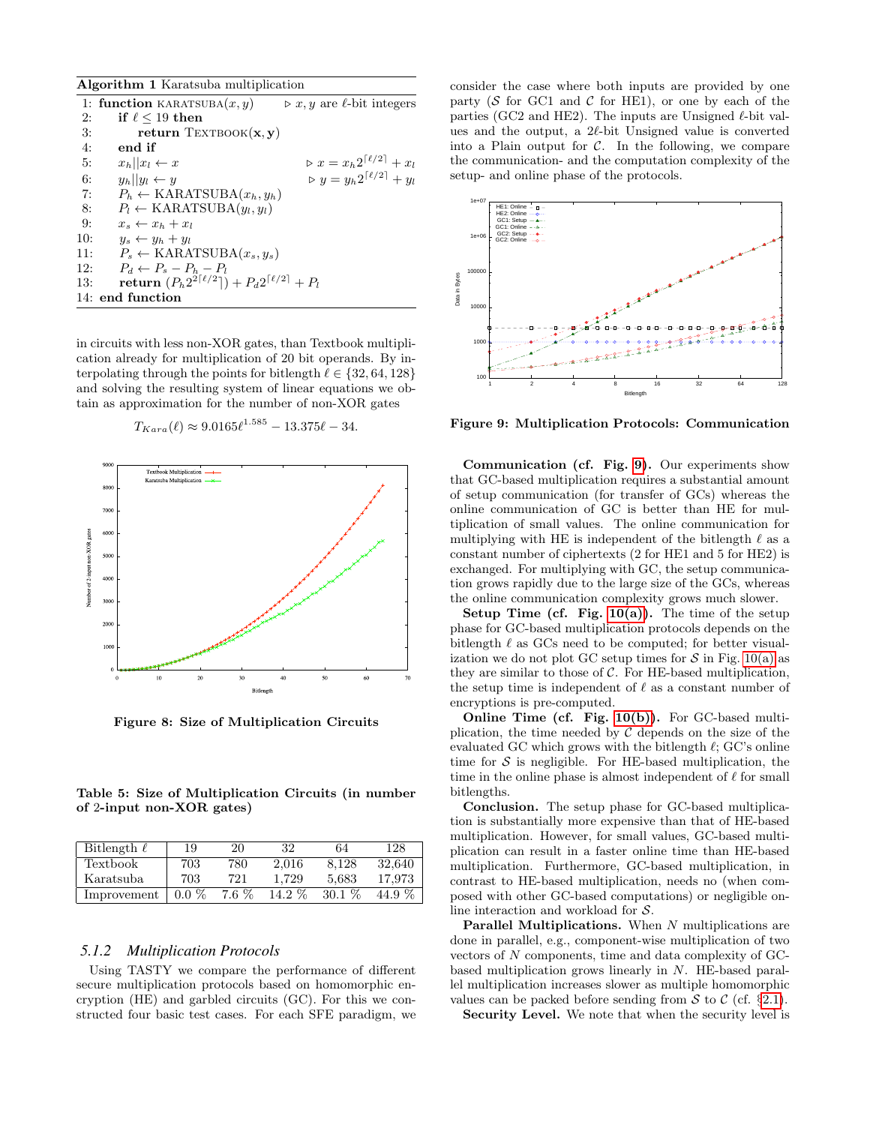<span id="page-9-1"></span>Algorithm 1 Karatsuba multiplication

|     | 1: function KARATSUBA $(x, y)$                                                | $\triangleright x, y$ are l-bit integers                |
|-----|-------------------------------------------------------------------------------|---------------------------------------------------------|
| 2:  | if $\ell$ < 19 then                                                           |                                                         |
| 3:  | return $Text{EXTBOOK}(x, y)$                                                  |                                                         |
| 4:  | end if                                                                        |                                                         |
| 5:  | $x_h  x_l \leftarrow x$                                                       | $\triangleright x = x_h 2^{\lceil \ell/2 \rceil} + x_l$ |
| 6:  | $y_h  y_l \leftarrow y$                                                       | $\triangleright y = y_h 2^{\lceil \ell/2 \rceil} + y_l$ |
| 7:  | $P_h \leftarrow \text{KARATSUBA}(x_h, y_h)$                                   |                                                         |
| 8:  | $P_l \leftarrow$ KARATSUBA $(y_l, y_l)$                                       |                                                         |
| -9: | $x_s \leftarrow x_h + x_l$                                                    |                                                         |
| 10: | $y_s \leftarrow y_h + y_l$                                                    |                                                         |
| 11: | $P_s \leftarrow \text{KARATSUBA}(x_s, y_s)$                                   |                                                         |
| 12: | $P_d \leftarrow P_s - P_h - P_l$                                              |                                                         |
| 13: | return $(P_h 2^{2\lceil \ell/2 \rceil}) + P_d 2^{\lceil \ell/2 \rceil} + P_l$ |                                                         |
|     | 14: end function                                                              |                                                         |

in circuits with less non-XOR gates, than Textbook multiplication already for multiplication of 20 bit operands. By interpolating through the points for bitlength  $\ell \in \{32, 64, 128\}$ and solving the resulting system of linear equations we obtain as approximation for the number of non-XOR gates

$$
T_{Kara}(\ell) \approx 9.0165 \ell^{1.585} - 13.375 \ell - 34.
$$



<span id="page-9-2"></span>Figure 8: Size of Multiplication Circuits

<span id="page-9-3"></span>Table 5: Size of Multiplication Circuits (in number of 2-input non-XOR gates)

| Bitlength $\ell$ | 19      | 20      | 32       | 64       | 128    |
|------------------|---------|---------|----------|----------|--------|
| Textbook         | 703     | 780     | 2.016    | 8.128    | 32.640 |
| Karatsuba        | 703     | 721     | 1.729    | 5.683    | 17.973 |
| Improvement      | $0.0\%$ | $7.6\%$ | $14.2\%$ | $30.1\%$ | 44.9 % |

#### <span id="page-9-0"></span>*5.1.2 Multiplication Protocols*

Using TASTY we compare the performance of different secure multiplication protocols based on homomorphic encryption (HE) and garbled circuits (GC). For this we constructed four basic test cases. For each SFE paradigm, we consider the case where both inputs are provided by one party ( $S$  for GC1 and  $C$  for HE1), or one by each of the parties (GC2 and HE2). The inputs are Unsigned  $\ell$ -bit values and the output, a  $2\ell$ -bit Unsigned value is converted into a Plain output for  $\mathcal{C}$ . In the following, we compare the communication- and the computation complexity of the setup- and online phase of the protocols.



<span id="page-9-4"></span>Figure 9: Multiplication Protocols: Communication

Communication (cf. Fig. [9\)](#page-9-4). Our experiments show that GC-based multiplication requires a substantial amount of setup communication (for transfer of GCs) whereas the online communication of GC is better than HE for multiplication of small values. The online communication for multiplying with HE is independent of the bitlength  $\ell$  as a constant number of ciphertexts (2 for HE1 and 5 for HE2) is exchanged. For multiplying with GC, the setup communication grows rapidly due to the large size of the GCs, whereas the online communication complexity grows much slower.

**Setup Time (cf. Fig. [10\(a\)\)](#page-10-2).** The time of the setup phase for GC-based multiplication protocols depends on the bitlength  $\ell$  as GCs need to be computed; for better visualization we do not plot GC setup times for  $S$  in Fig. [10\(a\)](#page-10-2) as they are similar to those of  $C$ . For HE-based multiplication, the setup time is independent of  $\ell$  as a constant number of encryptions is pre-computed.

Online Time (cf. Fig. [10\(b\)\)](#page-10-3). For GC-based multiplication, the time needed by  $C$  depends on the size of the evaluated GC which grows with the bitlength  $\ell$ ; GC's online time for  $S$  is negligible. For HE-based multiplication, the time in the online phase is almost independent of  $\ell$  for small bitlengths.

Conclusion. The setup phase for GC-based multiplication is substantially more expensive than that of HE-based multiplication. However, for small values, GC-based multiplication can result in a faster online time than HE-based multiplication. Furthermore, GC-based multiplication, in contrast to HE-based multiplication, needs no (when composed with other GC-based computations) or negligible online interaction and workload for S.

Parallel Multiplications. When N multiplications are done in parallel, e.g., component-wise multiplication of two vectors of N components, time and data complexity of GCbased multiplication grows linearly in N. HE-based parallel multiplication increases slower as multiple homomorphic values can be packed before sending from  $S$  to  $C$  (cf. §[2.1\)](#page-3-3).

Security Level. We note that when the security level is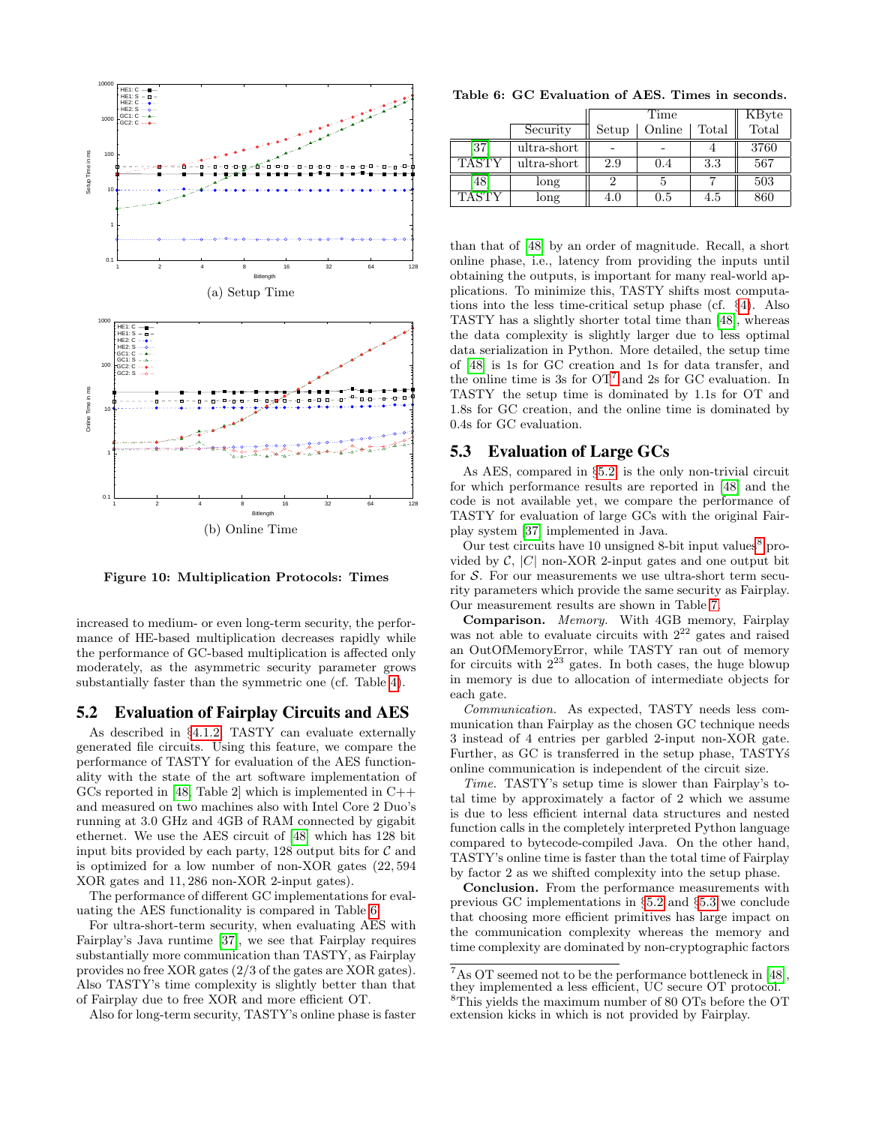<span id="page-10-2"></span>

<span id="page-10-3"></span>Figure 10: Multiplication Protocols: Times

increased to medium- or even long-term security, the performance of HE-based multiplication decreases rapidly while the performance of GC-based multiplication is affected only moderately, as the asymmetric security parameter grows substantially faster than the symmetric one (cf. Table [4\)](#page-8-3).

# <span id="page-10-0"></span>5.2 Evaluation of Fairplay Circuits and AES

As described in §[4.1.2,](#page-7-2) TASTY can evaluate externally generated file circuits. Using this feature, we compare the performance of TASTY for evaluation of the AES functionality with the state of the art software implementation of GCs reported in [\[48,](#page-13-8) Table 2] which is implemented in  $C++$ and measured on two machines also with Intel Core 2 Duo's running at 3.0 GHz and 4GB of RAM connected by gigabit ethernet. We use the AES circuit of [\[48\]](#page-13-8) which has 128 bit input bits provided by each party, 128 output bits for  $\mathcal C$  and is optimized for a low number of non-XOR gates (22, 594 XOR gates and 11, 286 non-XOR 2-input gates).

The performance of different GC implementations for evaluating the AES functionality is compared in Table [6:](#page-10-4)

For ultra-short-term security, when evaluating AES with Fairplay's Java runtime [\[37\]](#page-12-11), we see that Fairplay requires substantially more communication than TASTY, as Fairplay provides no free XOR gates (2/3 of the gates are XOR gates). Also TASTY's time complexity is slightly better than that of Fairplay due to free XOR and more efficient OT.

Also for long-term security, TASTY's online phase is faster

<span id="page-10-4"></span>Table 6: GC Evaluation of AES. Times in seconds.

|              |             |       | Time   |       | KByte |
|--------------|-------------|-------|--------|-------|-------|
|              | Security    | Setup | Online | Total | Total |
| [37          | ultra-short |       |        |       | 3760  |
| <b>TASTY</b> | ultra-short | 2.9   | 0.4    | 3.3   | 567   |
| (48)         | long        |       |        |       | 503   |
| <b>TASTY</b> | long        | 4.0   | 0.5    | 4.5   | 860   |

than that of [\[48\]](#page-13-8) by an order of magnitude. Recall, a short online phase, i.e., latency from providing the inputs until obtaining the outputs, is important for many real-world applications. To minimize this, TASTY shifts most computations into the less time-critical setup phase (cf. §[4\)](#page-5-0). Also TASTY has a slightly shorter total time than [\[48\]](#page-13-8), whereas the data complexity is slightly larger due to less optimal data serialization in Python. More detailed, the setup time of [\[48\]](#page-13-8) is 1s for GC creation and 1s for data transfer, and the online time is 3s for  $OT<sup>7</sup>$  $OT<sup>7</sup>$  $OT<sup>7</sup>$  and 2s for GC evaluation. In TASTY the setup time is dominated by 1.1s for OT and 1.8s for GC creation, and the online time is dominated by 0.4s for GC evaluation.

# <span id="page-10-1"></span>5.3 Evaluation of Large GCs

As AES, compared in §[5.2,](#page-10-0) is the only non-trivial circuit for which performance results are reported in [\[48\]](#page-13-8) and the code is not available yet, we compare the performance of TASTY for evaluation of large GCs with the original Fairplay system [\[37\]](#page-12-11) implemented in Java.

Our test circuits have 10 unsigned [8](#page-10-6)-bit input values $8$  provided by  $C$ ,  $|C|$  non-XOR 2-input gates and one output bit for  $S$ . For our measurements we use ultra-short term security parameters which provide the same security as Fairplay. Our measurement results are shown in Table [7.](#page-11-10)

Comparison. Memory. With 4GB memory, Fairplay was not able to evaluate circuits with  $2^{22}$  gates and raised an OutOfMemoryError, while TASTY ran out of memory for circuits with  $2^{23}$  gates. In both cases, the huge blowup in memory is due to allocation of intermediate objects for each gate.

Communication. As expected, TASTY needs less communication than Fairplay as the chosen GC technique needs 3 instead of 4 entries per garbled 2-input non-XOR gate. Further, as GC is transferred in the setup phase, TASTY's online communication is independent of the circuit size.

Time. TASTY's setup time is slower than Fairplay's total time by approximately a factor of 2 which we assume is due to less efficient internal data structures and nested function calls in the completely interpreted Python language compared to bytecode-compiled Java. On the other hand, TASTY's online time is faster than the total time of Fairplay by factor 2 as we shifted complexity into the setup phase.

Conclusion. From the performance measurements with previous GC implementations in §[5.2](#page-10-0) and §[5.3](#page-10-1) we conclude that choosing more efficient primitives has large impact on the communication complexity whereas the memory and time complexity are dominated by non-cryptographic factors

<span id="page-10-6"></span><span id="page-10-5"></span> $^7\mathrm{As}$  OT seemed not to be the performance bottleneck in [\[48\]](#page-13-8), they implemented a less efficient, UC secure OT protocol. <sup>8</sup>This yields the maximum number of 80 OTs before the OT extension kicks in which is not provided by Fairplay.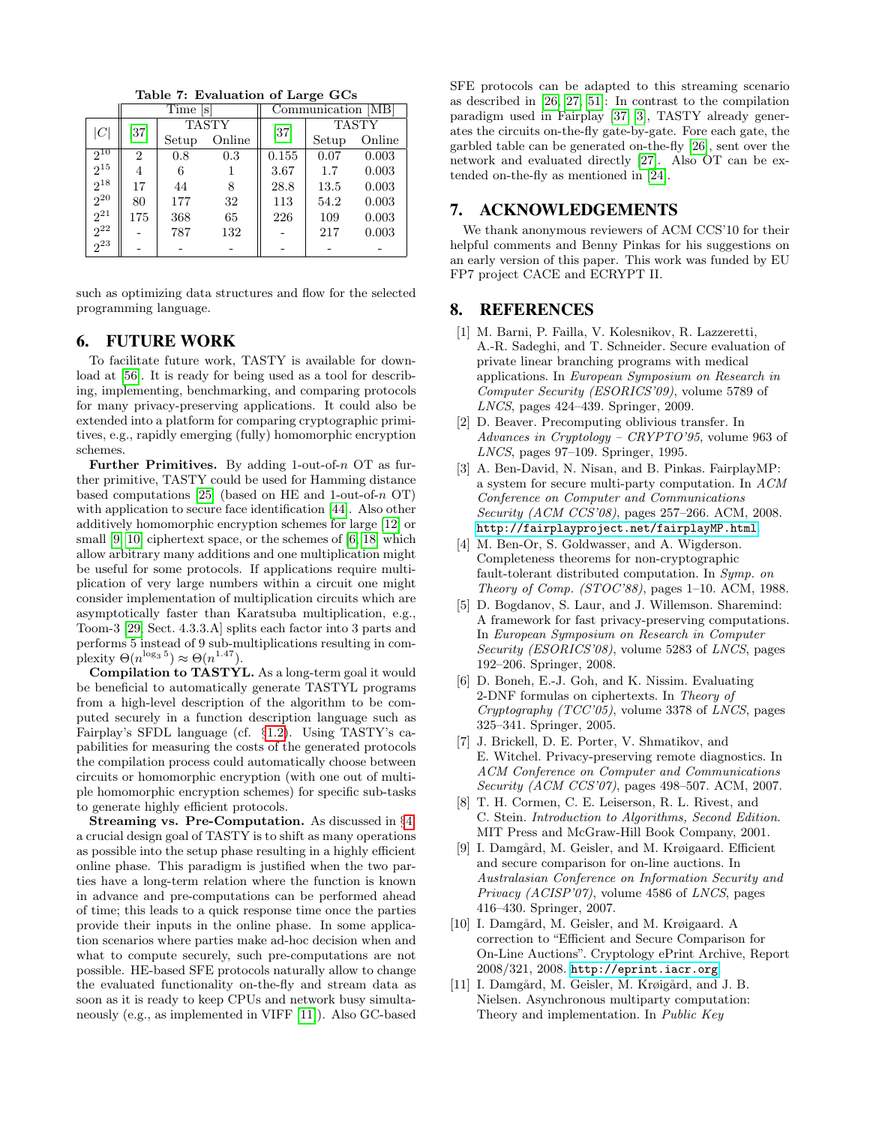<span id="page-11-10"></span>Table 7: Evaluation of Large GCs

|                  | Time [s]       |              |        | Communication [MB] |              |        |
|------------------|----------------|--------------|--------|--------------------|--------------|--------|
|                  | $[37]$         | <b>TASTY</b> |        |                    | <b>TASTY</b> |        |
| $\left C\right $ |                | Setup        | Online | $[37]$             | Setup        | Online |
| $2^{10}$         | $\overline{2}$ | 0.8          | 0.3    | 0.155              | 0.07         | 0.003  |
| $2^{15}$         | 4              | 6            |        | 3.67               | 1.7          | 0.003  |
| $2^{18}$         | 17             | 44           | 8      | 28.8               | 13.5         | 0.003  |
| $2^{20}$         | 80             | 177          | 32     | 113                | 54.2         | 0.003  |
| $2^{21}$         | 175            | 368          | 65     | 226                | 109          | 0.003  |
| $2^{22}$         |                | 787          | 132    |                    | 217          | 0.003  |
| $^{-}_{2^{23}}$  |                |              |        |                    |              |        |

such as optimizing data structures and flow for the selected programming language.

# <span id="page-11-2"></span>6. FUTURE WORK

To facilitate future work, TASTY is available for download at [\[56\]](#page-13-16). It is ready for being used as a tool for describing, implementing, benchmarking, and comparing protocols for many privacy-preserving applications. It could also be extended into a platform for comparing cryptographic primitives, e.g., rapidly emerging (fully) homomorphic encryption schemes.

Further Primitives. By adding 1-out-of-n OT as further primitive, TASTY could be used for Hamming distance based computations [\[25\]](#page-12-27) (based on HE and 1-out-of- $n$  OT) with application to secure face identification [\[44\]](#page-13-1). Also other additively homomorphic encryption schemes for large [\[12\]](#page-12-4) or small [\[9,](#page-11-11) [10\]](#page-11-12) ciphertext space, or the schemes of [\[6,](#page-11-7) [18\]](#page-12-19) which allow arbitrary many additions and one multiplication might be useful for some protocols. If applications require multiplication of very large numbers within a circuit one might consider implementation of multiplication circuits which are asymptotically faster than Karatsuba multiplication, e.g., Toom-3 [\[29,](#page-12-28) Sect. 4.3.3.A] splits each factor into 3 parts and performs 5 instead of 9 sub-multiplications resulting in complexity  $\Theta(n^{\log_3 5}) \approx \Theta(n^{1.47})$ .

Compilation to TASTYL. As a long-term goal it would be beneficial to automatically generate TASTYL programs from a high-level description of the algorithm to be computed securely in a function description language such as Fairplay's SFDL language (cf. §[1.2\)](#page-1-0). Using TASTY's capabilities for measuring the costs of the generated protocols the compilation process could automatically choose between circuits or homomorphic encryption (with one out of multiple homomorphic encryption schemes) for specific sub-tasks to generate highly efficient protocols.

Streaming vs. Pre-Computation. As discussed in §[4,](#page-5-0) a crucial design goal of TASTY is to shift as many operations as possible into the setup phase resulting in a highly efficient online phase. This paradigm is justified when the two parties have a long-term relation where the function is known in advance and pre-computations can be performed ahead of time; this leads to a quick response time once the parties provide their inputs in the online phase. In some application scenarios where parties make ad-hoc decision when and what to compute securely, such pre-computations are not possible. HE-based SFE protocols naturally allow to change the evaluated functionality on-the-fly and stream data as soon as it is ready to keep CPUs and network busy simultaneously (e.g., as implemented in VIFF [\[11\]](#page-11-4)). Also GC-based

SFE protocols can be adapted to this streaming scenario as described in [\[26,](#page-12-29) [27,](#page-12-30) [51\]](#page-13-19): In contrast to the compilation paradigm used in Fairplay [\[37,](#page-12-11) [3\]](#page-11-3), TASTY already generates the circuits on-the-fly gate-by-gate. Fore each gate, the garbled table can be generated on-the-fly [\[26\]](#page-12-29), sent over the network and evaluated directly [\[27\]](#page-12-30). Also OT can be extended on-the-fly as mentioned in [\[24\]](#page-12-26).

# 7. ACKNOWLEDGEMENTS

We thank anonymous reviewers of ACM CCS'10 for their helpful comments and Benny Pinkas for his suggestions on an early version of this paper. This work was funded by EU FP7 project CACE and ECRYPT II.

#### 8. REFERENCES

- <span id="page-11-1"></span>[1] M. Barni, P. Failla, V. Kolesnikov, R. Lazzeretti, A.-R. Sadeghi, and T. Schneider. Secure evaluation of private linear branching programs with medical applications. In European Symposium on Research in Computer Security (ESORICS'09), volume 5789 of LNCS, pages 424–439. Springer, 2009.
- <span id="page-11-8"></span>[2] D. Beaver. Precomputing oblivious transfer. In Advances in Cryptology – CRYPTO'95, volume 963 of LNCS, pages 97–109. Springer, 1995.
- <span id="page-11-3"></span>[3] A. Ben-David, N. Nisan, and B. Pinkas. FairplayMP: a system for secure multi-party computation. In ACM Conference on Computer and Communications Security (ACM CCS'08), pages 257–266. ACM, 2008. <http://fairplayproject.net/fairplayMP.html>.
- <span id="page-11-6"></span>[4] M. Ben-Or, S. Goldwasser, and A. Wigderson. Completeness theorems for non-cryptographic fault-tolerant distributed computation. In Symp. on Theory of Comp. (STOC'88), pages  $1-10$ . ACM, 1988.
- <span id="page-11-5"></span>[5] D. Bogdanov, S. Laur, and J. Willemson. Sharemind: A framework for fast privacy-preserving computations. In European Symposium on Research in Computer Security (ESORICS'08), volume 5283 of LNCS, pages 192–206. Springer, 2008.
- <span id="page-11-7"></span>[6] D. Boneh, E.-J. Goh, and K. Nissim. Evaluating 2-DNF formulas on ciphertexts. In Theory of Cryptography (TCC'05), volume 3378 of LNCS, pages 325–341. Springer, 2005.
- <span id="page-11-0"></span>[7] J. Brickell, D. E. Porter, V. Shmatikov, and E. Witchel. Privacy-preserving remote diagnostics. In ACM Conference on Computer and Communications Security (ACM CCS'07), pages 498–507. ACM, 2007.
- <span id="page-11-9"></span>[8] T. H. Cormen, C. E. Leiserson, R. L. Rivest, and C. Stein. Introduction to Algorithms, Second Edition. MIT Press and McGraw-Hill Book Company, 2001.
- <span id="page-11-11"></span>[9] I. Damgård, M. Geisler, and M. Krøigaard. Efficient and secure comparison for on-line auctions. In Australasian Conference on Information Security and Privacy (ACISP'07), volume 4586 of LNCS, pages 416–430. Springer, 2007.
- <span id="page-11-12"></span>[10] I. Damgård, M. Geisler, and M. Krøigaard. A correction to "Efficient and Secure Comparison for On-Line Auctions". Cryptology ePrint Archive, Report 2008/321, 2008. <http://eprint.iacr.org>.
- <span id="page-11-4"></span>[11] I. Damgård, M. Geisler, M. Krøigård, and J. B. Nielsen. Asynchronous multiparty computation: Theory and implementation. In Public Key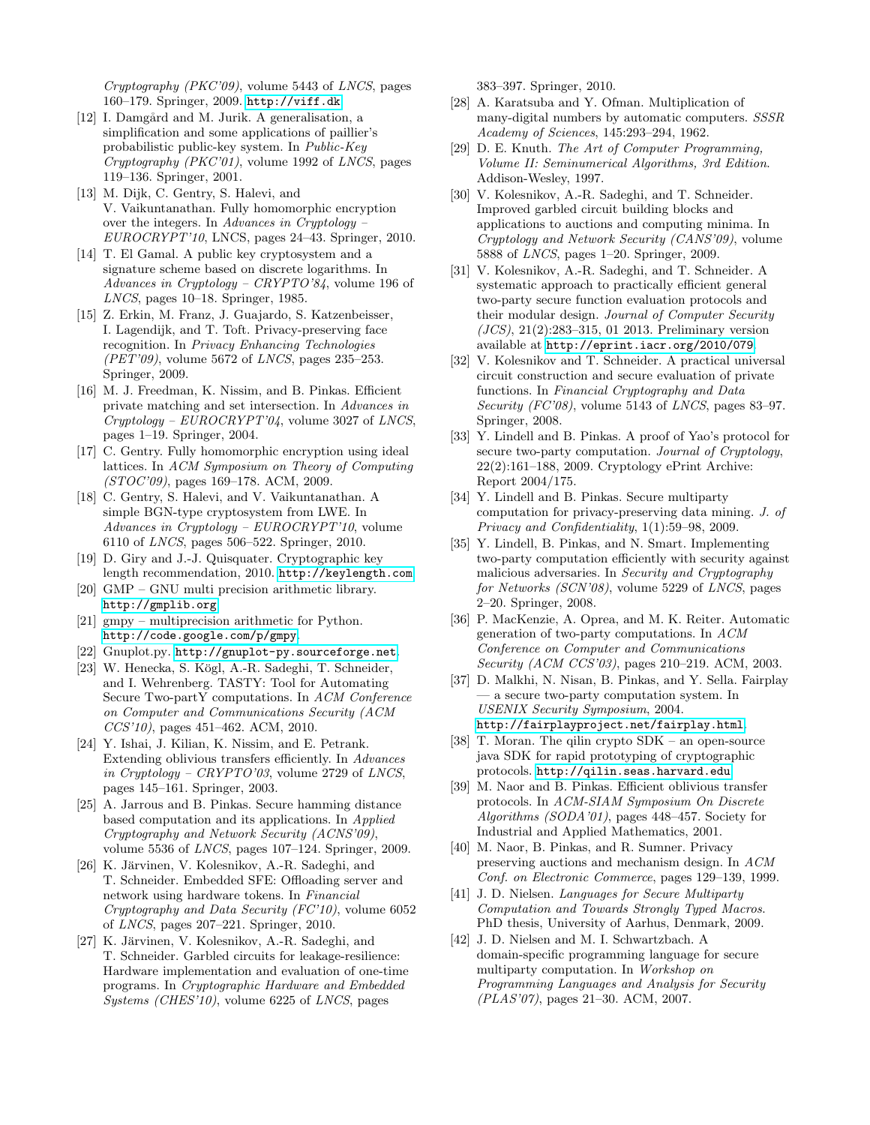Cryptography (PKC'09), volume 5443 of LNCS, pages 160–179. Springer, 2009. <http://viff.dk>.

- <span id="page-12-4"></span>[12] I. Damgård and M. Jurik. A generalisation, a simplification and some applications of paillier's probabilistic public-key system. In Public-Key Cryptography (PKC'01), volume 1992 of LNCS, pages 119–136. Springer, 2001.
- <span id="page-12-6"></span>[13] M. Dijk, C. Gentry, S. Halevi, and V. Vaikuntanathan. Fully homomorphic encryption over the integers. In Advances in Cryptology – EUROCRYPT'10, LNCS, pages 24–43. Springer, 2010.
- <span id="page-12-17"></span>[14] T. El Gamal. A public key cryptosystem and a signature scheme based on discrete logarithms. In Advances in Cryptology – CRYPTO'84, volume 196 of LNCS, pages 10–18. Springer, 1985.
- <span id="page-12-3"></span>[15] Z. Erkin, M. Franz, J. Guajardo, S. Katzenbeisser, I. Lagendijk, and T. Toft. Privacy-preserving face recognition. In Privacy Enhancing Technologies  $(PET'09)$ , volume 5672 of *LNCS*, pages 235–253. Springer, 2009.
- <span id="page-12-21"></span>[16] M. J. Freedman, K. Nissim, and B. Pinkas. Efficient private matching and set intersection. In Advances in  $Cryptography - EUROCRYPT'04$ , volume 3027 of LNCS, pages 1–19. Springer, 2004.
- <span id="page-12-5"></span>[17] C. Gentry. Fully homomorphic encryption using ideal lattices. In ACM Symposium on Theory of Computing (STOC'09), pages 169–178. ACM, 2009.
- <span id="page-12-19"></span>[18] C. Gentry, S. Halevi, and V. Vaikuntanathan. A simple BGN-type cryptosystem from LWE. In Advances in Cryptology – EUROCRYPT'10, volume 6110 of LNCS, pages 506–522. Springer, 2010.
- <span id="page-12-23"></span>[19] D. Giry and J.-J. Quisquater. Cryptographic key length recommendation, 2010. <http://keylength.com>.
- <span id="page-12-25"></span>[20] GMP – GNU multi precision arithmetic library. <http://gmplib.org>.
- <span id="page-12-24"></span>[21] gmpy – multiprecision arithmetic for Python. <http://code.google.com/p/gmpy>.
- <span id="page-12-22"></span>[22] Gnuplot.py. <http://gnuplot-py.sourceforge.net>.
- <span id="page-12-0"></span>[23] W. Henecka, S. Kögl, A.-R. Sadeghi, T. Schneider, and I. Wehrenberg. TASTY: Tool for Automating Secure Two-partY computations. In ACM Conference on Computer and Communications Security (ACM CCS'10), pages 451–462. ACM, 2010.
- <span id="page-12-26"></span>[24] Y. Ishai, J. Kilian, K. Nissim, and E. Petrank. Extending oblivious transfers efficiently. In Advances in Cryptology – CRYPTO'03, volume 2729 of LNCS, pages 145–161. Springer, 2003.
- <span id="page-12-27"></span>[25] A. Jarrous and B. Pinkas. Secure hamming distance based computation and its applications. In Applied Cryptography and Network Security (ACNS'09), volume 5536 of LNCS, pages 107–124. Springer, 2009.
- <span id="page-12-29"></span>[26] K. Järvinen, V. Kolesnikov, A.-R. Sadeghi, and T. Schneider. Embedded SFE: Offloading server and network using hardware tokens. In Financial Cryptography and Data Security (FC'10), volume 6052 of LNCS, pages 207–221. Springer, 2010.
- <span id="page-12-30"></span>[27] K. Järvinen, V. Kolesnikov, A.-R. Sadeghi, and T. Schneider. Garbled circuits for leakage-resilience: Hardware implementation and evaluation of one-time programs. In Cryptographic Hardware and Embedded Systems (CHES'10), volume 6225 of LNCS, pages

383–397. Springer, 2010.

- <span id="page-12-9"></span>[28] A. Karatsuba and Y. Ofman. Multiplication of many-digital numbers by automatic computers. SSSR Academy of Sciences, 145:293–294, 1962.
- <span id="page-12-28"></span>[29] D. E. Knuth. The Art of Computer Programming, Volume II: Seminumerical Algorithms, 3rd Edition. Addison-Wesley, 1997.
- <span id="page-12-18"></span>[30] V. Kolesnikov, A.-R. Sadeghi, and T. Schneider. Improved garbled circuit building blocks and applications to auctions and computing minima. In Cryptology and Network Security (CANS'09), volume 5888 of LNCS, pages 1–20. Springer, 2009.
- <span id="page-12-8"></span>[31] V. Kolesnikov, A.-R. Sadeghi, and T. Schneider. A systematic approach to practically efficient general two-party secure function evaluation protocols and their modular design. Journal of Computer Security  $(JCS)$ , 21(2):283-315, 01 2013. Preliminary version available at <http://eprint.iacr.org/2010/079>.
- <span id="page-12-7"></span>[32] V. Kolesnikov and T. Schneider. A practical universal circuit construction and secure evaluation of private functions. In Financial Cryptography and Data Security (FC'08), volume 5143 of LNCS, pages 83-97. Springer, 2008.
- <span id="page-12-20"></span>[33] Y. Lindell and B. Pinkas. A proof of Yao's protocol for secure two-party computation. Journal of Cryptology, 22(2):161–188, 2009. Cryptology ePrint Archive: Report 2004/175.
- <span id="page-12-2"></span>[34] Y. Lindell and B. Pinkas. Secure multiparty computation for privacy-preserving data mining. J. of Privacy and Confidentiality, 1(1):59–98, 2009.
- <span id="page-12-10"></span>[35] Y. Lindell, B. Pinkas, and N. Smart. Implementing two-party computation efficiently with security against malicious adversaries. In Security and Cryptography for Networks (SCN'08), volume 5229 of LNCS, pages 2–20. Springer, 2008.
- <span id="page-12-14"></span>[36] P. MacKenzie, A. Oprea, and M. K. Reiter. Automatic generation of two-party computations. In ACM Conference on Computer and Communications Security (ACM CCS'03), pages 210–219. ACM, 2003.
- <span id="page-12-11"></span>[37] D. Malkhi, N. Nisan, B. Pinkas, and Y. Sella. Fairplay — a secure two-party computation system. In USENIX Security Symposium, 2004. <http://fairplayproject.net/fairplay.html>.
- <span id="page-12-15"></span>[38] T. Moran. The qilin crypto SDK – an open-source java SDK for rapid prototyping of cryptographic protocols. <http://qilin.seas.harvard.edu>.
- <span id="page-12-16"></span>[39] M. Naor and B. Pinkas. Efficient oblivious transfer protocols. In ACM-SIAM Symposium On Discrete Algorithms (SODA'01), pages 448–457. Society for Industrial and Applied Mathematics, 2001.
- <span id="page-12-1"></span>[40] M. Naor, B. Pinkas, and R. Sumner. Privacy preserving auctions and mechanism design. In ACM Conf. on Electronic Commerce, pages 129–139, 1999.
- <span id="page-12-13"></span>[41] J. D. Nielsen. *Languages for Secure Multiparty* Computation and Towards Strongly Typed Macros. PhD thesis, University of Aarhus, Denmark, 2009.
- <span id="page-12-12"></span>[42] J. D. Nielsen and M. I. Schwartzbach. A domain-specific programming language for secure multiparty computation. In Workshop on Programming Languages and Analysis for Security (PLAS'07), pages 21–30. ACM, 2007.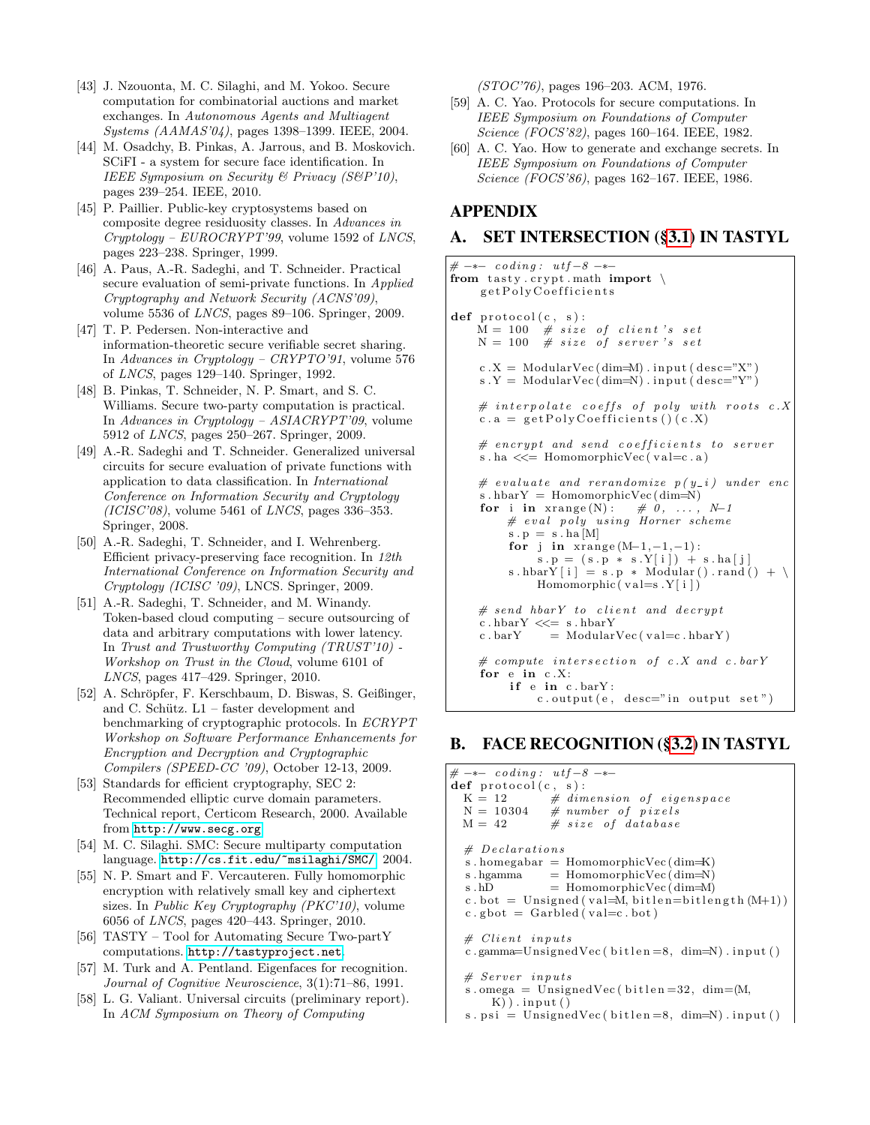- <span id="page-13-9"></span>[43] J. Nzouonta, M. C. Silaghi, and M. Yokoo. Secure computation for combinatorial auctions and market exchanges. In Autonomous Agents and Multiagent Systems (AAMAS'04), pages 1398–1399. IEEE, 2004.
- <span id="page-13-1"></span>[44] M. Osadchy, B. Pinkas, A. Jarrous, and B. Moskovich. SCiFI - a system for secure face identification. In IEEE Symposium on Security & Privacy (S&P'10), pages 239–254. IEEE, 2010.
- <span id="page-13-3"></span>[45] P. Paillier. Public-key cryptosystems based on composite degree residuosity classes. In Advances in Cryptology – EUROCRYPT'99, volume 1592 of LNCS, pages 223–238. Springer, 1999.
- <span id="page-13-18"></span>[46] A. Paus, A.-R. Sadeghi, and T. Schneider. Practical secure evaluation of semi-private functions. In Applied Cryptography and Network Security (ACNS'09), volume 5536 of LNCS, pages 89–106. Springer, 2009.
- <span id="page-13-12"></span>[47] T. P. Pedersen. Non-interactive and information-theoretic secure verifiable secret sharing. In Advances in Cryptology – CRYPTO'91, volume 576 of LNCS, pages 129–140. Springer, 1992.
- <span id="page-13-8"></span>[48] B. Pinkas, T. Schneider, N. P. Smart, and S. C. Williams. Secure two-party computation is practical. In Advances in Cryptology – ASIACRYPT'09, volume 5912 of LNCS, pages 250–267. Springer, 2009.
- <span id="page-13-7"></span>[49] A.-R. Sadeghi and T. Schneider. Generalized universal circuits for secure evaluation of private functions with application to data classification. In International Conference on Information Security and Cryptology  $(ICISC'08)$ , volume 5461 of *LNCS*, pages 336-353. Springer, 2008.
- <span id="page-13-0"></span>[50] A.-R. Sadeghi, T. Schneider, and I. Wehrenberg. Efficient privacy-preserving face recognition. In 12th International Conference on Information Security and Cryptology (ICISC '09), LNCS. Springer, 2009.
- <span id="page-13-19"></span>[51] A.-R. Sadeghi, T. Schneider, and M. Winandy. Token-based cloud computing – secure outsourcing of data and arbitrary computations with lower latency. In Trust and Trustworthy Computing (TRUST'10) - Workshop on Trust in the Cloud, volume 6101 of LNCS, pages 417–429. Springer, 2010.
- <span id="page-13-11"></span>[52] A. Schröpfer, F. Kerschbaum, D. Biswas, S. Geißinger, and C. Schütz.  $L1$  – faster development and benchmarking of cryptographic protocols. In ECRYPT Workshop on Software Performance Enhancements for Encryption and Decryption and Cryptographic Compilers (SPEED-CC '09), October 12-13, 2009.
- <span id="page-13-17"></span>[53] Standards for efficient cryptography, SEC 2: Recommended elliptic curve domain parameters. Technical report, Certicom Research, 2000. Available from <http://www.secg.org>.
- <span id="page-13-10"></span>[54] M. C. Silaghi. SMC: Secure multiparty computation language. <http://cs.fit.edu/~msilaghi/SMC/>, 2004.
- <span id="page-13-4"></span>[55] N. P. Smart and F. Vercauteren. Fully homomorphic encryption with relatively small key and ciphertext sizes. In Public Key Cryptography (PKC'10), volume 6056 of LNCS, pages 420–443. Springer, 2010.
- <span id="page-13-16"></span>[56] TASTY – Tool for Automating Secure Two-partY computations. <http://tastyproject.net>.
- <span id="page-13-14"></span>[57] M. Turk and A. Pentland. Eigenfaces for recognition. Journal of Cognitive Neuroscience, 3(1):71–86, 1991.
- <span id="page-13-6"></span>[58] L. G. Valiant. Universal circuits (preliminary report). In ACM Symposium on Theory of Computing

(STOC'76), pages 196–203. ACM, 1976.

- <span id="page-13-2"></span>[59] A. C. Yao. Protocols for secure computations. In IEEE Symposium on Foundations of Computer Science (FOCS'82), pages 160–164. IEEE, 1982.
- <span id="page-13-5"></span>[60] A. C. Yao. How to generate and exchange secrets. In IEEE Symposium on Foundations of Computer Science (FOCS'86), pages 162–167. IEEE, 1986.

# APPENDIX

# <span id="page-13-13"></span>A. SET INTERSECTION ([§3.1\)](#page-4-2) IN TASTYL

```
# \rightarrow - coding: utf-8 -*-from tasty.crypt.math import \setminusg et Poly Coefficients
def protocol(c, s):
    M = 100 # size of client's set
    N = 100 # size of server's set
    c.X = ModularVec(dim=M) . input (desc="X")s Y = ModularVec(dim=N) . input (desc="Y")\# interpolate coeffs of poly with roots c\,.\,Xc.a = getPoly Coefficients() (c.X)# encrypt and send coefficients to server
    s . ha \ll = HomomorphicVec (val=c.a)
    # evaluate and rerandomize p(y_i) under enc
    s . hbarY = HomomorphicVec (dim=N)<br>
for i in xrange (N): \# 0, ..., N-1
    for i in xrange(N):
         # eval poly using Horner scheme
         s \cdot p = s \cdot ha \cdot Mfor j in xrange (M-1,-1,-1):
              s.p = (s.p * s.Y[i]) + s.haj[i]s . hbarY [ i ] = s \cdot p * Modular() \cdot rand() + \nHomomorphic ( val=s . Y[i ] )# send\ hbarY\ to\ client\ and\ decryptc. hbarY \ll = s. hbarYc . barY = ModularVec ( val=c . hbarY )
    # compute intersection of c.X and c.barYfor e in c.X:
         if e in c.barY:
              c. output (e, desc="in output set")
```
## <span id="page-13-15"></span>B. FACE RECOGNITION ([§3.2\)](#page-4-3) IN TASTYL

```
# \rightarrow - coding: utf-8 -*def protocol(c, s):<br>
K = 12 # dim
  K = 12 # dimension of eigenspace<br>N = 10304 # number of pixels
                  # number of pixelsM = 42 # size of database
  # \text{ } Declarionss . homegabar = HomomorphicVec (\text{dim}=\text{K})s . hgamma = HomomorphicVec (dim=N)
  s . hD = Homomorphic Vec (dim=M)
  c. bot = Unsigned (val=M, bitlen=bitlength (M+1))
  c. gbot = Garbled (val=c.bot)
  # Client inputs
  c . gamma=UnsignedVec (bitlen = 8, dim=N). input()# Server inputs
  s . omega = UnsignedVec ( bitlen =32, dim=(M,K)). input ()
  s. \, \text{psi} = \text{UnsignedVec}(\text{bitlen}=8, \, \text{dim=N}). \, \text{input}()
```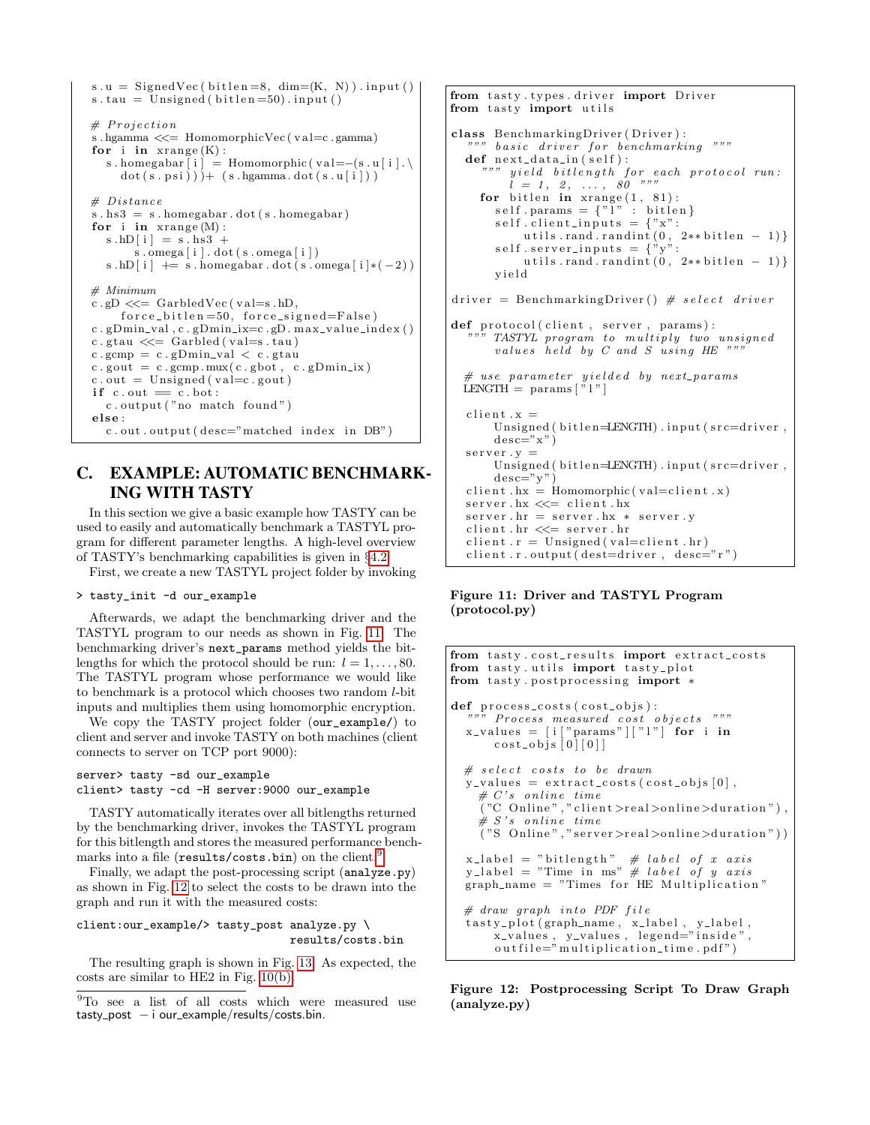```
s.u = SignedVec (bitlen =8, dim = (K, N)). input ()
s . tau = Unsigned (bitlen=50). input ()
# Projections . hgamma <<= HomomorphicVec ( v al=c . gamma)
for i in xrange(K):
  s . homegabar [i] = Homomorphic \left( val=-(s \cdot u[i]) \right).
     dot(s . \psi(s) ) + (s . \eta(s . \psi(s . \psi(s) . \psi(s)# Distances.hs3 = s.homegabar. dot(s.homegabar)for i in xrange (M):
  s . hD [i] = s . hs 3 +
       \sin \theta . \sin \theta i \sin \theta . \cot (s \cdot \cos \theta) i \sin \thetas . hD[i] += s . homegabar . dot (s . omega [i]*(-2))
# Minimum
c . gD \ll  GarbledVec (val=s .hD,
     force\_bitlen = 50, force\_signed = False)
c.gDmin_val, c.gDmin_ix=c.gD.max_value_index()c . gtau \ll Garbled (val=s . tau)
c. gcmp = c. gDmin_val < c. gtauc.gout = c.gcmp.mux(c.gbot, c.gDmin_ix)c \cdot out = Unsigned(valec . gout)if c.out == c.bot :c . output ( "no match found ")
else :
  c. out. output (desc="matched index in DB")
```
# <span id="page-14-0"></span>C. EXAMPLE: AUTOMATIC BENCHMARK-ING WITH TASTY

In this section we give a basic example how TASTY can be used to easily and automatically benchmark a TASTYL program for different parameter lengths. A high-level overview of TASTY's benchmarking capabilities is given in §[4.2.](#page-7-1)

First, we create a new TASTYL project folder by invoking

#### > tasty\_init -d our\_example

Afterwards, we adapt the benchmarking driver and the TASTYL program to our needs as shown in Fig. [11.](#page-14-1) The benchmarking driver's next\_params method yields the bitlengths for which the protocol should be run:  $l = 1, \ldots, 80$ . The TASTYL program whose performance we would like to benchmark is a protocol which chooses two random l-bit inputs and multiplies them using homomorphic encryption.

We copy the TASTY project folder (our\_example/) to client and server and invoke TASTY on both machines (client connects to server on TCP port 9000):

```
server> tasty -sd our_example
client> tasty -cd -H server:9000 our_example
```
TASTY automatically iterates over all bitlengths returned by the benchmarking driver, invokes the TASTYL program for this bitlength and stores the measured performance bench-marks into a file (results/costs.bin) on the client.<sup>[9](#page-14-2)</sup>

Finally, we adapt the post-processing script (analyze.py) as shown in Fig. [12](#page-14-3) to select the costs to be drawn into the graph and run it with the measured costs:

```
client:our_example/> tasty_post analyze.py \
                               results/costs.bin
```
The resulting graph is shown in Fig. [13.](#page-15-0) As expected, the costs are similar to HE2 in Fig. [10\(b\).](#page-10-3)

```
from tasty types driver import Driver
from tasty import utils
class BenchmarkingDriver (Driver):
  """ basic driver for benchmarking """
  def next_data_in(self):yield\; \; bit length\; \; for\; \; each\; \; protocol\; \; run:i = 1, 2, \ldots, 80 """
    for bitlen in xrange(1, 81):
       self. <i>params</i> = { "1" : <i>bitlen</i> }self. client\_inputs = \{ "x":utils . rand . randint (0, 2** bitlen -1)}
       self \, . \, server\_inputs = \{ "y":utils . rand . randint (0, 2** bitlen - 1) }
       y i e l d
driver = BenchmarkingDriver () # select driverdef protocol ( client, server, params) :
      TASTYL program to multiply two unsigned
       values held by C and S using HE ""
  # use parameter yielded by next_params
  LENGTH = params ["]"]client.x =Using ned(bitlen=LENGTH) . input(src=driver,\text{des}\,\overline{\text{c}} = "x"s e r v e r . y =Usingned (bitlen=LENGTH) . input (src=driver ,desc=" y"client.hx = Homomorphic( value = client.x)server.hx \ll= client.hx
  server.hr = server.hx * server.yclient.hr \ll= server.hr
  client.r = Unsigned(val=client.hr)client.r.output (dest=driver, desc="r")
```
#### <span id="page-14-1"></span>Figure 11: Driver and TASTYL Program (protocol.py)

```
from tasty.cost_results import extract_costs
from tasty.utils import tasty_plot
from tasty. postprocessing import *
def process_costs (cost_objs):
      Process measured cost objects """
   x \text{-values} = \lceil i \rceil"params"\lceil \rceil"\lceil \rceil" for i in
        cost_objs [0][0]]
  # select \; costs \; to \; be \; drawny_{\text{-values}} = \text{extract\_costs} (\text{cost\_objs} [0],# C's online time
     \H( "C \text{ Online}", "client > real > online > duration" ) ,# S's online time
     ("S \text{ Online", "server>=} a \geq \text{online}>duration")x_label = "bitlength" \# label of x axis
   y-label = "Time in ms" \# label of y axis
  graph_name = "Times for HE Multiplication"# draw graph into PDF file
   tasty_plot(graph_name, x_label, y_label,
        x_values, y_values, legend="inside",
        \text{outfile="multiplier} is discribed to \text{infinite.pdf} ")
```
<span id="page-14-3"></span>Figure 12: Postprocessing Script To Draw Graph (analyze.py)

<span id="page-14-2"></span><sup>9</sup>To see a list of all costs which were measured use  $\text{task} - i \text{ our}$  = xample/results/costs.bin.